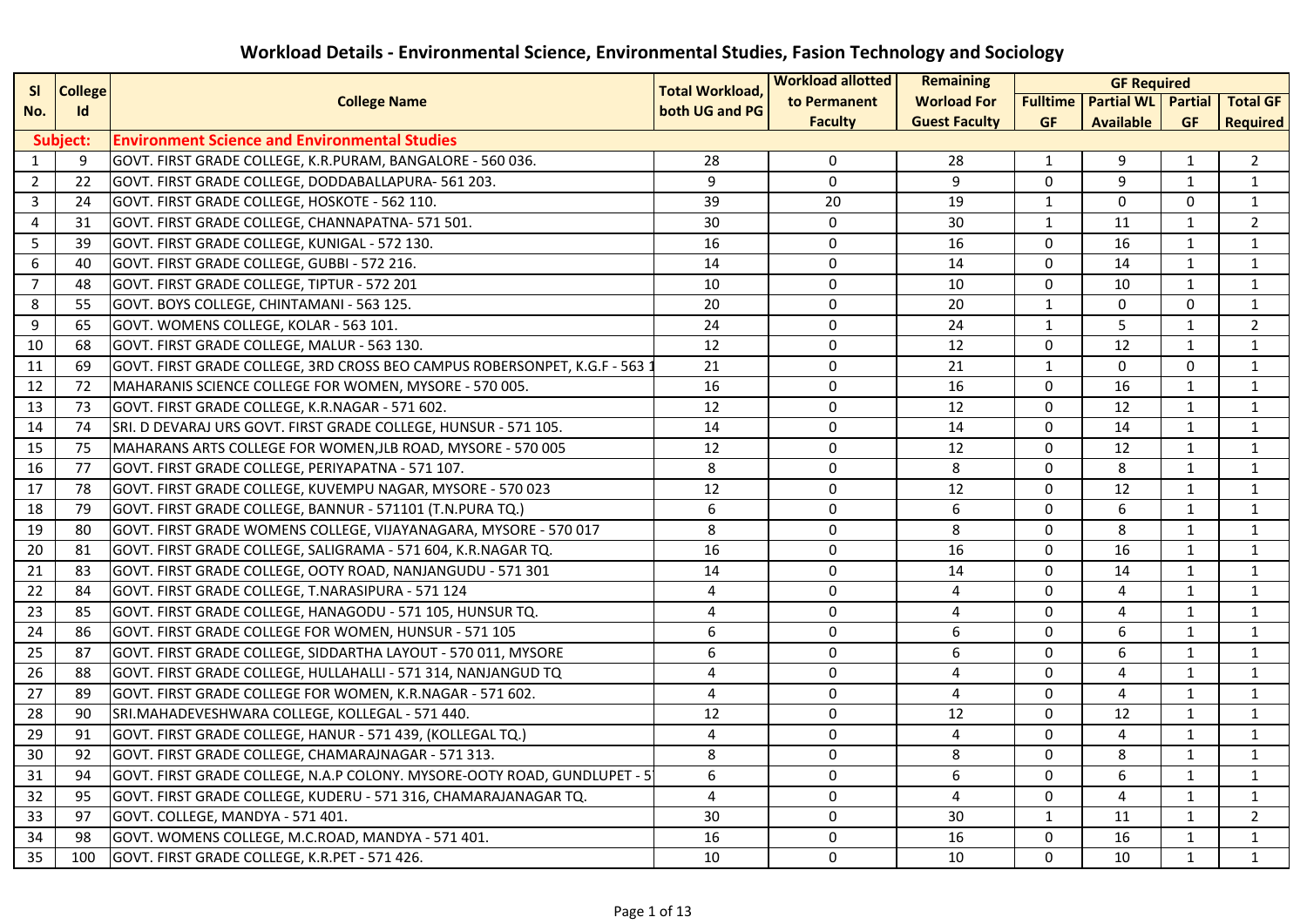| <b>College</b><br><b>SI</b> |           | <b>Total Workload,</b>                                                   | <b>Workload allotted</b> | <b>Remaining</b>    | <b>GF Required</b>   |              |                                                   |              |                 |
|-----------------------------|-----------|--------------------------------------------------------------------------|--------------------------|---------------------|----------------------|--------------|---------------------------------------------------|--------------|-----------------|
| No.                         | <b>Id</b> | <b>College Name</b>                                                      | both UG and PG           | to Permanent        | <b>Worload For</b>   |              | <b>Fulltime   Partial WL   Partial   Total GF</b> |              |                 |
|                             |           |                                                                          |                          | <b>Faculty</b>      | <b>Guest Faculty</b> | <b>GF</b>    | <b>Available</b>                                  | <b>GF</b>    | <b>Required</b> |
|                             | Subject:  | <b>Environment Science and Environmental Studies</b>                     |                          |                     |                      |              |                                                   |              |                 |
| $\mathbf{1}$                | 9         | GOVT. FIRST GRADE COLLEGE, K.R.PURAM, BANGALORE - 560 036.               | 28                       | 0                   | 28                   | 1            | 9                                                 | $\mathbf{1}$ | $\overline{2}$  |
| $\overline{2}$              | 22        | GOVT. FIRST GRADE COLLEGE, DODDABALLAPURA- 561 203.                      | 9                        | $\mathbf 0$         | 9                    | $\mathbf 0$  | 9                                                 | $\mathbf{1}$ | $\mathbf{1}$    |
| $\mathbf{3}$                | 24        | GOVT. FIRST GRADE COLLEGE, HOSKOTE - 562 110.                            | $\overline{39}$          | 20                  | 19                   | $\mathbf{1}$ | $\mathbf{0}$                                      | $\mathbf{0}$ | $\mathbf{1}$    |
| 4                           | 31        | GOVT. FIRST GRADE COLLEGE, CHANNAPATNA- 571 501.                         | 30                       | 0                   | 30                   | 1            | 11                                                | $\mathbf{1}$ | $\overline{2}$  |
| 5                           | 39        | GOVT. FIRST GRADE COLLEGE, KUNIGAL - 572 130.                            | 16                       | 0                   | 16                   | $\mathbf{0}$ | 16                                                | $\mathbf{1}$ | $\mathbf{1}$    |
| 6                           | 40        | GOVT. FIRST GRADE COLLEGE, GUBBI - 572 216.                              | 14                       | 0                   | 14                   | $\mathbf{0}$ | 14                                                | $\mathbf{1}$ | 1               |
| $\overline{7}$              | 48        | GOVT. FIRST GRADE COLLEGE, TIPTUR - 572 201                              | 10                       | 0                   | 10                   | $\mathbf{0}$ | 10                                                | $\mathbf{1}$ | $\mathbf{1}$    |
| 8                           | 55        | GOVT. BOYS COLLEGE, CHINTAMANI - 563 125.                                | 20                       | 0                   | 20                   | $\mathbf{1}$ | 0                                                 | 0            | $\mathbf{1}$    |
| 9                           | 65        | GOVT. WOMENS COLLEGE, KOLAR - 563 101.                                   | 24                       | 0                   | 24                   | $\mathbf{1}$ | 5                                                 | $\mathbf{1}$ | $\overline{2}$  |
| 10                          | 68        | GOVT. FIRST GRADE COLLEGE, MALUR - 563 130.                              | 12                       | $\Omega$            | 12                   | $\Omega$     | 12                                                | $\mathbf{1}$ | $\mathbf{1}$    |
| 11                          | 69        | GOVT. FIRST GRADE COLLEGE, 3RD CROSS BEO CAMPUS ROBERSONPET, K.G.F - 563 | 21                       | 0                   | 21                   | $\mathbf{1}$ | 0                                                 | 0            | $\mathbf{1}$    |
| 12                          | 72        | MAHARANIS SCIENCE COLLEGE FOR WOMEN, MYSORE - 570 005.                   | 16                       | 0                   | 16                   | $\Omega$     | 16                                                | $\mathbf{1}$ | $\mathbf{1}$    |
| 13                          | 73        | GOVT. FIRST GRADE COLLEGE, K.R.NAGAR - 571 602.                          | 12                       | 0                   | 12                   | $\mathbf{0}$ | 12                                                | $\mathbf{1}$ | $\mathbf{1}$    |
| 14                          | 74        | SRI. D DEVARAJ URS GOVT. FIRST GRADE COLLEGE, HUNSUR - 571 105.          | 14                       | $\mathsf{O}\xspace$ | 14                   | 0            | 14                                                | $\mathbf{1}$ | $\mathbf{1}$    |
| 15                          | 75        | MAHARANS ARTS COLLEGE FOR WOMEN, JLB ROAD, MYSORE - 570 005              | 12                       | 0                   | 12                   | $\Omega$     | 12                                                | $\mathbf{1}$ | $\mathbf{1}$    |
| 16                          | 77        | GOVT. FIRST GRADE COLLEGE, PERIYAPATNA - 571 107.                        | 8                        | $\mathsf{O}\xspace$ | 8                    | $\Omega$     | 8                                                 | $\mathbf{1}$ | $\mathbf{1}$    |
| 17                          | 78        | GOVT. FIRST GRADE COLLEGE, KUVEMPU NAGAR, MYSORE - 570 023               | $\overline{12}$          | $\mathsf{O}\xspace$ | 12                   | $\Omega$     | 12                                                | $\mathbf{1}$ | $\mathbf{1}$    |
| 18                          | 79        | GOVT. FIRST GRADE COLLEGE, BANNUR - 571101 (T.N.PURA TQ.)                | 6                        | 0                   | 6                    | 0            | 6                                                 | $\mathbf{1}$ | $\mathbf{1}$    |
| 19                          | 80        | GOVT. FIRST GRADE WOMENS COLLEGE, VIJAYANAGARA, MYSORE - 570 017         | 8                        | 0                   | 8                    | $\Omega$     | 8                                                 | $\mathbf{1}$ | $\mathbf{1}$    |
| 20                          | 81        | GOVT. FIRST GRADE COLLEGE, SALIGRAMA - 571 604, K.R.NAGAR TQ.            | 16                       | $\mathsf{O}\xspace$ | 16                   | $\mathbf 0$  | 16                                                | $\mathbf{1}$ | $\mathbf{1}$    |
| 21                          | 83        | GOVT. FIRST GRADE COLLEGE, OOTY ROAD, NANJANGUDU - 571 301               | $\overline{14}$          | $\mathbf 0$         | 14                   | $\mathbf 0$  | 14                                                | $\mathbf{1}$ | $\mathbf{1}$    |
| 22                          | 84        | GOVT. FIRST GRADE COLLEGE, T.NARASIPURA - 571 124                        | 4                        | 0                   | 4                    | $\mathbf{0}$ | 4                                                 | $\mathbf{1}$ | $\mathbf{1}$    |
| 23                          | 85        | GOVT. FIRST GRADE COLLEGE, HANAGODU - 571 105, HUNSUR TQ.                | 4                        | $\pmb{0}$           | 4                    | $\mathbf 0$  | 4                                                 | $\mathbf{1}$ | $\mathbf{1}$    |
| 24                          | 86        | GOVT. FIRST GRADE COLLEGE FOR WOMEN, HUNSUR - 571 105                    | 6                        | $\mathbf 0$         | 6                    | $\mathbf 0$  | 6                                                 | $\mathbf{1}$ | $\mathbf{1}$    |
| 25                          | 87        | GOVT. FIRST GRADE COLLEGE, SIDDARTHA LAYOUT - 570 011, MYSORE            | 6                        | 0                   | 6                    | $\mathbf 0$  | 6                                                 | $\mathbf{1}$ | $\mathbf{1}$    |
| 26                          | 88        | GOVT. FIRST GRADE COLLEGE, HULLAHALLI - 571 314, NANJANGUD TQ            | $\overline{4}$           | 0                   | 4                    | $\Omega$     | 4                                                 | $\mathbf{1}$ | $\mathbf{1}$    |
| 27                          | 89        | GOVT. FIRST GRADE COLLEGE FOR WOMEN, K.R.NAGAR - 571 602.                | $\overline{4}$           | 0                   | 4                    | 0            | 4                                                 | $\mathbf{1}$ | $\mathbf{1}$    |
| 28                          | 90        | SRI.MAHADEVESHWARA COLLEGE, KOLLEGAL - 571 440.                          | 12                       | 0                   | 12                   | $\mathbf{0}$ | 12                                                | $\mathbf{1}$ | $\mathbf{1}$    |
| 29                          | 91        | GOVT. FIRST GRADE COLLEGE, HANUR - 571 439, (KOLLEGAL TQ.)               | 4                        | $\mathsf 0$         | 4                    | $\Omega$     | 4                                                 | $\mathbf{1}$ | $\mathbf{1}$    |
| 30                          | 92        | GOVT. FIRST GRADE COLLEGE, CHAMARAJNAGAR - 571 313.                      | 8                        | $\pmb{0}$           | 8                    | $\Omega$     | 8                                                 | $\mathbf{1}$ | $\mathbf{1}$    |
| 31                          | 94        | GOVT. FIRST GRADE COLLEGE, N.A.P COLONY. MYSORE-OOTY ROAD, GUNDLUPET - 5 | 6                        | 0                   | 6                    | $\mathbf{0}$ | 6                                                 | $\mathbf{1}$ | $\mathbf{1}$    |
| 32                          | 95        | GOVT. FIRST GRADE COLLEGE, KUDERU - 571 316, CHAMARAJANAGAR TQ.          | $\overline{4}$           | $\mathsf 0$         | $\overline{4}$       | $\Omega$     | $\overline{4}$                                    | $\mathbf{1}$ | $\mathbf{1}$    |
| 33                          | 97        | GOVT. COLLEGE, MANDYA - 571 401.                                         | 30                       | $\mathsf 0$         | 30                   | $\mathbf{1}$ | 11                                                | $\mathbf{1}$ | $\overline{2}$  |
| 34                          | 98        | GOVT. WOMENS COLLEGE, M.C.ROAD, MANDYA - 571 401.                        | 16                       | 0                   | 16                   | $\Omega$     | 16                                                | $\mathbf{1}$ | $\mathbf{1}$    |
| 35                          | 100       | GOVT. FIRST GRADE COLLEGE, K.R.PET - 571 426.                            | 10                       | $\mathbf 0$         | 10                   | $\Omega$     | 10                                                | $\mathbf{1}$ | $\mathbf{1}$    |

## **Workload Details - Environmental Science, Environmental Studies, Fasion Technology and Sociology**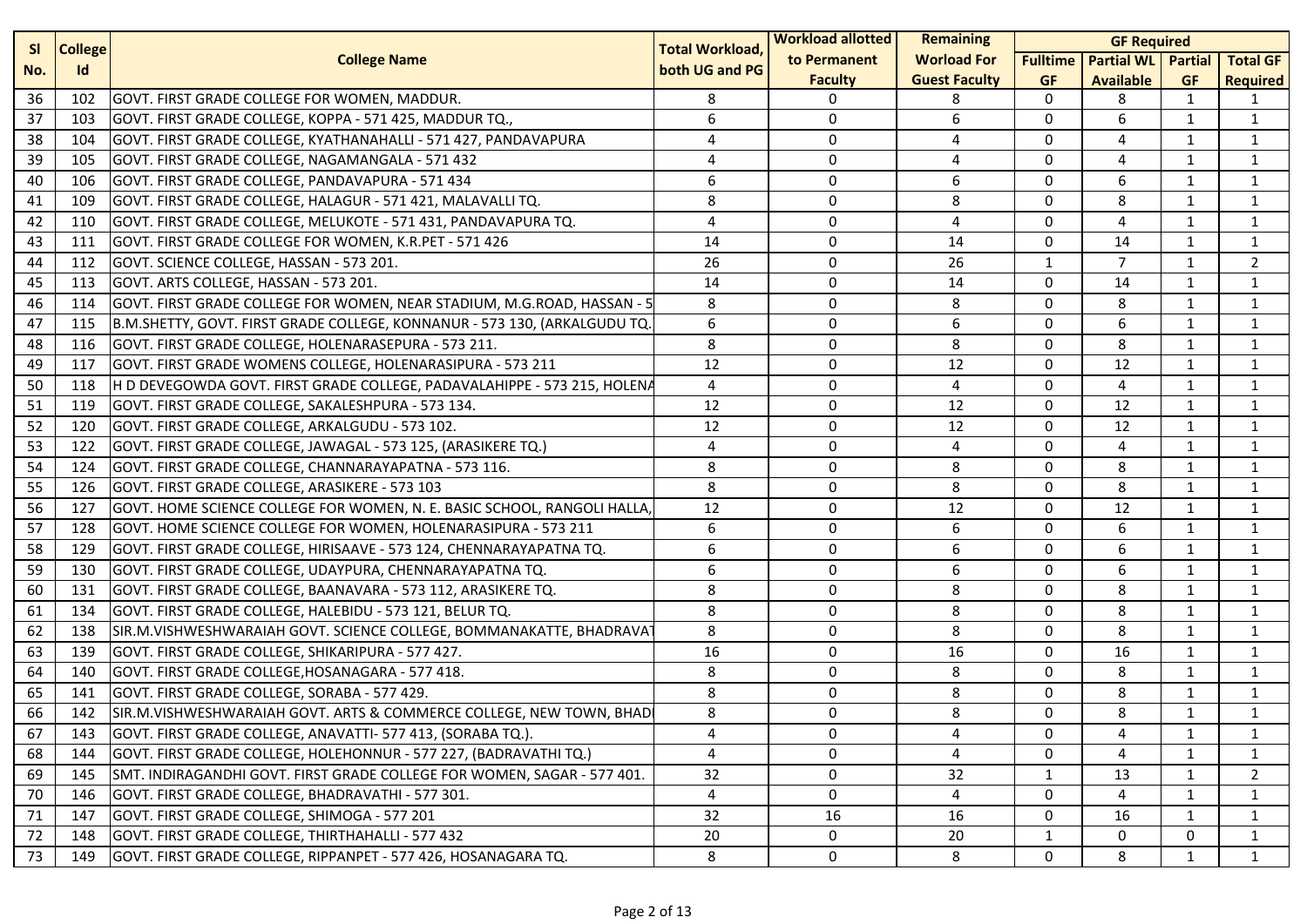| <b>SI</b><br><b>College</b> |     | <b>Total Workload,</b>                                                    | <b>Workload allotted</b> | Remaining      | <b>GF Required</b>   |                 |                           |              |                 |
|-----------------------------|-----|---------------------------------------------------------------------------|--------------------------|----------------|----------------------|-----------------|---------------------------|--------------|-----------------|
| No.                         | Id  | <b>College Name</b>                                                       | both UG and PG           | to Permanent   | <b>Worload For</b>   | <b>Fulltime</b> | <b>Partial WL</b> Partial |              | <b>Total GF</b> |
|                             |     |                                                                           |                          | <b>Faculty</b> | <b>Guest Faculty</b> | <b>GF</b>       | <b>Available</b>          | <b>GF</b>    | <b>Required</b> |
| 36                          | 102 | GOVT. FIRST GRADE COLLEGE FOR WOMEN, MADDUR.                              | 8                        | $\Omega$       | 8                    | $\Omega$        | 8                         | 1            | 1               |
| 37                          | 103 | GOVT. FIRST GRADE COLLEGE, KOPPA - 571 425, MADDUR TQ.,                   | 6                        | 0              | 6                    | $\mathbf 0$     | 6                         | 1            | $\mathbf{1}$    |
| 38                          | 104 | GOVT. FIRST GRADE COLLEGE, KYATHANAHALLI - 571 427, PANDAVAPURA           | 4                        | $\Omega$       | 4                    | $\mathbf 0$     | 4                         | 1            | $\mathbf{1}$    |
| 39                          | 105 | GOVT. FIRST GRADE COLLEGE, NAGAMANGALA - 571 432                          | 4                        | 0              | 4                    | 0               | 4                         | 1            | $\mathbf{1}$    |
| 40                          | 106 | GOVT. FIRST GRADE COLLEGE, PANDAVAPURA - 571 434                          | 6                        | 0              | 6                    | 0               | 6                         | 1            | $\mathbf{1}$    |
| 41                          | 109 | GOVT. FIRST GRADE COLLEGE, HALAGUR - 571 421, MALAVALLI TQ.               | 8                        | 0              | 8                    | 0               | 8                         | 1            | $\mathbf{1}$    |
| 42                          | 110 | GOVT. FIRST GRADE COLLEGE, MELUKOTE - 571 431, PANDAVAPURA TQ.            | 4                        | 0              | 4                    | $\mathbf 0$     | 4                         | $\mathbf{1}$ | $\mathbf{1}$    |
| 43                          | 111 | GOVT. FIRST GRADE COLLEGE FOR WOMEN, K.R.PET - 571 426                    | 14                       | $\Omega$       | 14                   | $\mathbf 0$     | 14                        | $\mathbf{1}$ | $\mathbf{1}$    |
| 44                          | 112 | GOVT. SCIENCE COLLEGE, HASSAN - 573 201.                                  | 26                       | 0              | 26                   | $\mathbf{1}$    | $\overline{7}$            | $\mathbf{1}$ | $\overline{2}$  |
| 45                          | 113 | GOVT. ARTS COLLEGE, HASSAN - 573 201.                                     | 14                       | 0              | 14                   | $\mathbf 0$     | 14                        | 1            | $\mathbf{1}$    |
| 46                          | 114 | GOVT. FIRST GRADE COLLEGE FOR WOMEN, NEAR STADIUM, M.G.ROAD, HASSAN - 5   | 8                        | 0              | 8                    | 0               | 8                         | 1            | $\mathbf{1}$    |
| 47                          | 115 | B.M.SHETTY, GOVT. FIRST GRADE COLLEGE, KONNANUR - 573 130, (ARKALGUDU TQ. | 6                        | 0              | 6                    | $\Omega$        | 6                         | $\mathbf{1}$ | $\mathbf{1}$    |
| 48                          | 116 | GOVT. FIRST GRADE COLLEGE, HOLENARASEPURA - 573 211.                      | 8                        | $\Omega$       | 8                    | $\Omega$        | 8                         | $\mathbf{1}$ | $\mathbf{1}$    |
| 49                          | 117 | GOVT. FIRST GRADE WOMENS COLLEGE, HOLENARASIPURA - 573 211                | 12                       | 0              | 12                   | 0               | 12                        | 1            | $\mathbf{1}$    |
| 50                          | 118 | H D DEVEGOWDA GOVT. FIRST GRADE COLLEGE, PADAVALAHIPPE - 573 215, HOLENA  | 4                        | 0              | 4                    | $\mathbf 0$     | 4                         | 1            | $\mathbf{1}$    |
| 51                          | 119 | GOVT. FIRST GRADE COLLEGE, SAKALESHPURA - 573 134.                        | 12                       | 0              | 12                   | 0               | 12                        | $\mathbf{1}$ | $\mathbf{1}$    |
| 52                          | 120 | GOVT. FIRST GRADE COLLEGE, ARKALGUDU - 573 102.                           | 12                       | 0              | 12                   | 0               | 12                        | $\mathbf{1}$ | $\mathbf{1}$    |
| 53                          | 122 | GOVT. FIRST GRADE COLLEGE, JAWAGAL - 573 125, (ARASIKERE TQ.)             | 4                        | $\Omega$       | 4                    | $\Omega$        | 4                         | $\mathbf{1}$ | $\mathbf{1}$    |
| 54                          | 124 | GOVT. FIRST GRADE COLLEGE, CHANNARAYAPATNA - 573 116.                     | 8                        | 0              | 8                    | $\Omega$        | 8                         | 1            | $\mathbf{1}$    |
| 55                          | 126 | GOVT. FIRST GRADE COLLEGE, ARASIKERE - 573 103                            | 8                        | 0              | 8                    | $\mathbf 0$     | 8                         | 1            | $\mathbf{1}$    |
| 56                          | 127 | GOVT. HOME SCIENCE COLLEGE FOR WOMEN, N. E. BASIC SCHOOL, RANGOLI HALLA,  | 12                       | 0              | 12                   | 0               | 12                        | 1            | $\mathbf{1}$    |
| 57                          | 128 | GOVT. HOME SCIENCE COLLEGE FOR WOMEN, HOLENARASIPURA - 573 211            | 6                        | 0              | 6                    | $\mathbf 0$     | 6                         | 1            | $\mathbf{1}$    |
| 58                          | 129 | GOVT. FIRST GRADE COLLEGE, HIRISAAVE - 573 124, CHENNARAYAPATNA TQ.       | 6                        | $\Omega$       | 6                    | $\mathbf 0$     | 6                         | $\mathbf{1}$ | $\mathbf{1}$    |
| 59                          | 130 | GOVT. FIRST GRADE COLLEGE, UDAYPURA, CHENNARAYAPATNA TQ.                  | 6                        | 0              | 6                    | 0               | 6                         | 1            | $\mathbf{1}$    |
| 60                          | 131 | GOVT. FIRST GRADE COLLEGE, BAANAVARA - 573 112, ARASIKERE TQ.             | 8                        | 0              | 8                    | 0               | 8                         | 1            | $\mathbf{1}$    |
| 61                          | 134 | GOVT. FIRST GRADE COLLEGE, HALEBIDU - 573 121, BELUR TQ.                  | 8                        | 0              | 8                    | 0               | 8                         | 1            | $\mathbf{1}$    |
| 62                          | 138 | SIR.M.VISHWESHWARAIAH GOVT. SCIENCE COLLEGE, BOMMANAKATTE, BHADRAVA       | 8                        | 0              | 8                    | $\mathbf 0$     | 8                         | 1            | $\mathbf{1}$    |
| 63                          | 139 | GOVT. FIRST GRADE COLLEGE, SHIKARIPURA - 577 427.                         | 16                       | $\Omega$       | 16                   | $\Omega$        | 16                        | $\mathbf{1}$ | $\mathbf{1}$    |
| 64                          | 140 | GOVT. FIRST GRADE COLLEGE, HOSANAGARA - 577 418.                          | 8                        | 0              | 8                    | 0               | 8                         | $\mathbf{1}$ | $\mathbf{1}$    |
| 65                          | 141 | GOVT. FIRST GRADE COLLEGE, SORABA - 577 429.                              | 8                        | 0              | 8                    | 0               | 8                         | $\mathbf{1}$ | $\mathbf{1}$    |
| 66                          | 142 | SIR.M.VISHWESHWARAIAH GOVT. ARTS & COMMERCE COLLEGE, NEW TOWN, BHAD       | 8                        | 0              | 8                    | $\Omega$        | 8                         | 1            | $\mathbf{1}$    |
| 67                          | 143 | GOVT. FIRST GRADE COLLEGE, ANAVATTI- 577 413, (SORABA TQ.).               | 4                        | 0              | 4                    | 0               | 4                         | 1            | 1               |
| 68                          | 144 | GOVT. FIRST GRADE COLLEGE, HOLEHONNUR - 577 227, (BADRAVATHI TQ.)         | 4                        | $\Omega$       | 4                    | $\mathbf{0}$    | 4                         | 1            | $\mathbf{1}$    |
| 69                          | 145 | SMT. INDIRAGANDHI GOVT. FIRST GRADE COLLEGE FOR WOMEN, SAGAR - 577 401.   | 32                       | 0              | 32                   | $\mathbf{1}$    | 13                        | 1            | 2               |
| 70                          | 146 | GOVT. FIRST GRADE COLLEGE, BHADRAVATHI - 577 301.                         | 4                        | 0              | 4                    | 0               | 4                         | 1            | 1               |
| 71                          | 147 | GOVT. FIRST GRADE COLLEGE, SHIMOGA - 577 201                              | 32                       | 16             | 16                   | 0               | 16                        | 1            | $\mathbf{1}$    |
| 72                          | 148 | GOVT. FIRST GRADE COLLEGE, THIRTHAHALLI - 577 432                         | 20                       | 0              | 20                   | $\mathbf{1}$    | $\mathbf 0$               | $\mathbf 0$  | $\mathbf{1}$    |
| 73                          | 149 | GOVT. FIRST GRADE COLLEGE, RIPPANPET - 577 426, HOSANAGARA TQ.            | 8                        | $\mathbf 0$    | 8                    | 0               | 8                         | 1            | $\mathbf{1}$    |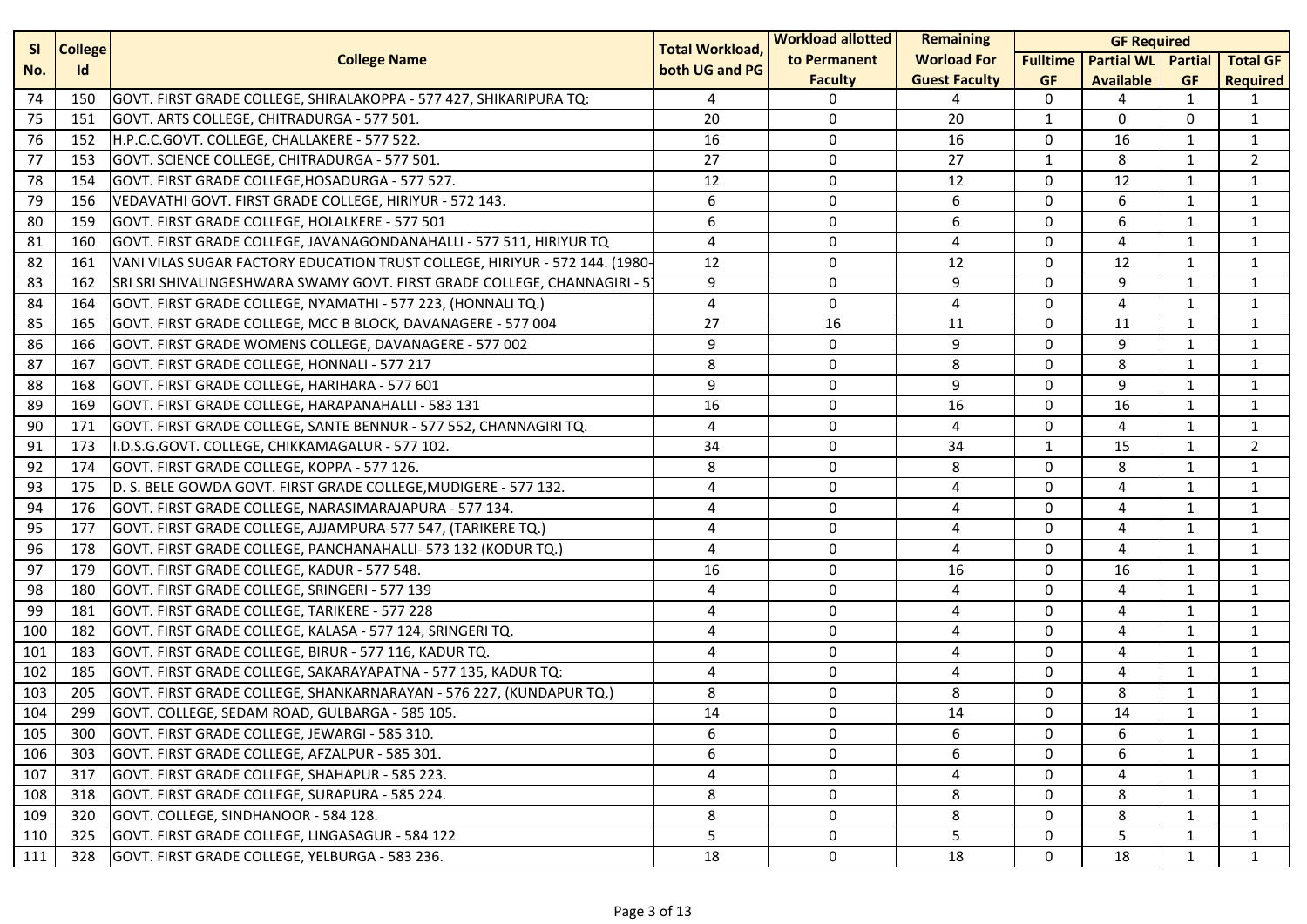| <b>College</b><br><b>SI</b> |     | <b>Total Workload,</b>                                                      | <b>Workload allotted</b> | Remaining      | <b>GF Required</b>   |                 |                           |              |                 |
|-----------------------------|-----|-----------------------------------------------------------------------------|--------------------------|----------------|----------------------|-----------------|---------------------------|--------------|-----------------|
| No.                         | Id  | <b>College Name</b>                                                         | both UG and PG           | to Permanent   | <b>Worload For</b>   | <b>Fulltime</b> | <b>Partial WL</b> Partial |              | <b>Total GF</b> |
|                             |     |                                                                             |                          | <b>Faculty</b> | <b>Guest Faculty</b> | <b>GF</b>       | <b>Available</b>          | <b>GF</b>    | <b>Required</b> |
| 74                          | 150 | GOVT. FIRST GRADE COLLEGE, SHIRALAKOPPA - 577 427, SHIKARIPURA TQ:          | 4                        | 0              | 4                    | 0               | 4                         | 1            | 1               |
| 75                          | 151 | GOVT. ARTS COLLEGE, CHITRADURGA - 577 501.                                  | 20                       | 0              | 20                   | $\mathbf{1}$    | 0                         | $\Omega$     | $\mathbf{1}$    |
| 76                          | 152 | H.P.C.C.GOVT. COLLEGE, CHALLAKERE - 577 522.                                | 16                       | 0              | 16                   | $\mathbf 0$     | 16                        | 1            | $\mathbf{1}$    |
| 77                          | 153 | GOVT. SCIENCE COLLEGE, CHITRADURGA - 577 501.                               | 27                       | 0              | 27                   | $\mathbf{1}$    | 8                         | 1            | $\overline{2}$  |
| 78                          | 154 | GOVT. FIRST GRADE COLLEGE, HOSADURGA - 577 527.                             | 12                       | 0              | 12                   | $\mathbf 0$     | 12                        | $\mathbf{1}$ | $\mathbf{1}$    |
| 79                          | 156 | VEDAVATHI GOVT. FIRST GRADE COLLEGE, HIRIYUR - 572 143.                     | 6                        | $\mathbf 0$    | 6                    | 0               | 6                         | 1            | 1               |
| 80                          | 159 | GOVT. FIRST GRADE COLLEGE, HOLALKERE - 577 501                              | 6                        | $\mathbf 0$    | 6                    | $\mathbf 0$     | 6                         | 1            | $\mathbf{1}$    |
| 81                          | 160 | GOVT. FIRST GRADE COLLEGE, JAVANAGONDANAHALLI - 577 511, HIRIYUR TQ         | 4                        | 0              | 4                    | $\mathbf 0$     | 4                         | 1            | $\mathbf{1}$    |
| 82                          | 161 | VANI VILAS SUGAR FACTORY EDUCATION TRUST COLLEGE, HIRIYUR - 572 144. (1980- | 12                       | 0              | 12                   | 0               | 12                        | 1            | 1               |
| 83                          | 162 | SRI SRI SHIVALINGESHWARA SWAMY GOVT. FIRST GRADE COLLEGE, CHANNAGIRI - 5    | 9                        | $\mathbf 0$    | 9                    | $\mathbf 0$     | 9                         | 1            | $\mathbf{1}$    |
| 84                          | 164 | GOVT. FIRST GRADE COLLEGE, NYAMATHI - 577 223, (HONNALI TQ.)                | 4                        | $\mathbf 0$    | 4                    | 0               | $\overline{4}$            | 1            | 1               |
| 85                          | 165 | GOVT. FIRST GRADE COLLEGE, MCC B BLOCK, DAVANAGERE - 577 004                | 27                       | 16             | 11                   | $\mathbf 0$     | 11                        | 1            | $\mathbf{1}$    |
| 86                          | 166 | GOVT. FIRST GRADE WOMENS COLLEGE, DAVANAGERE - 577 002                      | 9                        | 0              | 9                    | $\mathbf 0$     | 9                         | 1            | $\mathbf{1}$    |
| 87                          | 167 | GOVT. FIRST GRADE COLLEGE, HONNALI - 577 217                                | 8                        | 0              | 8                    | 0               | 8                         | 1            | 1               |
| 88                          | 168 | GOVT. FIRST GRADE COLLEGE, HARIHARA - 577 601                               | 9                        | $\mathbf 0$    | 9                    | $\mathbf 0$     | 9                         | $\mathbf{1}$ | $\mathbf{1}$    |
| 89                          | 169 | GOVT. FIRST GRADE COLLEGE, HARAPANAHALLI - 583 131                          | 16                       | $\mathbf 0$    | 16                   | $\mathbf 0$     | 16                        | 1            | 1               |
| 90                          | 171 | GOVT. FIRST GRADE COLLEGE, SANTE BENNUR - 577 552, CHANNAGIRI TQ.           | $\overline{4}$           | 0              | 4                    | $\mathbf 0$     | 4                         | 1            | 1               |
| 91                          | 173 | I.D.S.G.GOVT. COLLEGE, CHIKKAMAGALUR - 577 102.                             | 34                       | 0              | 34                   | $\mathbf{1}$    | 15                        | 1            | $\overline{2}$  |
| 92                          | 174 | GOVT. FIRST GRADE COLLEGE, KOPPA - 577 126.                                 | 8                        | $\mathbf 0$    | 8                    | $\mathbf 0$     | 8                         | 1            | $\mathbf{1}$    |
| 93                          | 175 | D. S. BELE GOWDA GOVT. FIRST GRADE COLLEGE, MUDIGERE - 577 132.             | 4                        | $\mathbf 0$    | 4                    | $\mathbf 0$     | 4                         | 1            | $\mathbf{1}$    |
| 94                          | 176 | GOVT. FIRST GRADE COLLEGE, NARASIMARAJAPURA - 577 134.                      | 4                        | $\mathbf 0$    | 4                    | $\mathbf 0$     | 4                         | 1            | $\mathbf{1}$    |
| 95                          | 177 | GOVT. FIRST GRADE COLLEGE, AJJAMPURA-577 547, (TARIKERE TQ.)                | 4                        | 0              | 4                    | 0               | 4                         | 1            | 1               |
| 96                          | 178 | GOVT. FIRST GRADE COLLEGE, PANCHANAHALLI- 573 132 (KODUR TQ.)               | 4                        | 0              | 4                    | $\mathbf 0$     | 4                         | 1            | $\mathbf{1}$    |
| 97                          | 179 | GOVT. FIRST GRADE COLLEGE, KADUR - 577 548.                                 | 16                       | $\mathbf 0$    | 16                   | $\mathbf 0$     | 16                        | 1            | 1               |
| 98                          | 180 | GOVT. FIRST GRADE COLLEGE, SRINGERI - 577 139                               | 4                        | $\mathbf 0$    | 4                    | $\mathbf 0$     | 4                         | $\mathbf{1}$ | $\mathbf{1}$    |
| 99                          | 181 | GOVT. FIRST GRADE COLLEGE, TARIKERE - 577 228                               | 4                        | $\mathbf 0$    | 4                    | $\mathbf 0$     | 4                         | 1            | $\mathbf{1}$    |
| 100                         | 182 | GOVT. FIRST GRADE COLLEGE, KALASA - 577 124, SRINGERI TQ.                   | 4                        | 0              | 4                    | $\mathbf 0$     | 4                         | 1            | $\mathbf{1}$    |
| 101                         | 183 | GOVT. FIRST GRADE COLLEGE, BIRUR - 577 116, KADUR TQ.                       | 4                        | 0              | 4                    | $\mathbf 0$     | 4                         | $\mathbf{1}$ | $\mathbf{1}$    |
| 102                         | 185 | GOVT. FIRST GRADE COLLEGE, SAKARAYAPATNA - 577 135, KADUR TQ:               | 4                        | $\mathbf 0$    | 4                    | $\mathbf 0$     | 4                         | 1            | 1               |
| 103                         | 205 | GOVT. FIRST GRADE COLLEGE, SHANKARNARAYAN - 576 227, (KUNDAPUR TQ.)         | 8                        | $\mathbf 0$    | 8                    | $\mathbf 0$     | 8                         | 1            | $\mathbf{1}$    |
| 104                         | 299 | GOVT. COLLEGE, SEDAM ROAD, GULBARGA - 585 105.                              | 14                       | $\mathbf 0$    | 14                   | $\mathbf{0}$    | 14                        | 1            | $\mathbf{1}$    |
| 105                         | 300 | GOVT. FIRST GRADE COLLEGE, JEWARGI - 585 310.                               | 6                        | 0              | 6                    | 0               | 6                         | 1            | 1               |
| 106                         | 303 | GOVT. FIRST GRADE COLLEGE, AFZALPUR - 585 301.                              | 6                        | $\mathbf{0}$   | 6                    | $\mathbf{0}$    | 6                         | 1            | $\mathbf{1}$    |
| 107                         | 317 | GOVT. FIRST GRADE COLLEGE, SHAHAPUR - 585 223.                              | 4                        | 0              | 4                    | 0               | 4                         | 1            | 1               |
| 108                         | 318 | GOVT. FIRST GRADE COLLEGE, SURAPURA - 585 224.                              | 8                        | 0              | 8                    | 0               | 8                         | 1            | 1               |
| 109                         | 320 | GOVT. COLLEGE, SINDHANOOR - 584 128.                                        | 8                        | 0              | 8                    | 0               | 8                         | 1            | 1               |
| 110                         | 325 | GOVT. FIRST GRADE COLLEGE, LINGASAGUR - 584 122                             | 5                        | 0              | 5                    | 0               | 5                         | 1            | 1               |
| 111                         | 328 | GOVT. FIRST GRADE COLLEGE, YELBURGA - 583 236.                              | 18                       | $\mathbf 0$    | 18                   | 0               | 18                        | 1            | $\mathbf{1}$    |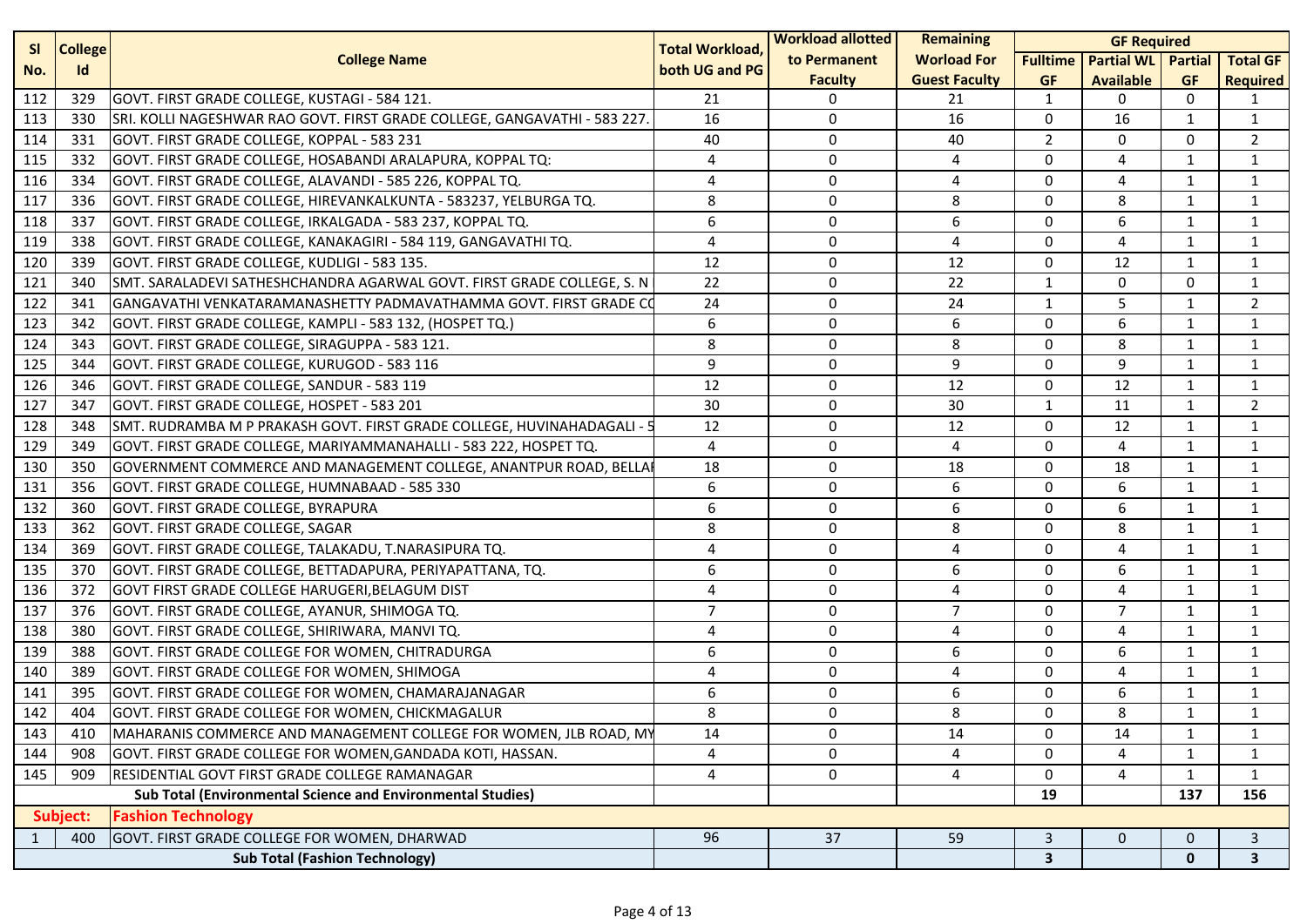| <b>SI</b><br><b>College</b> |          | <b>Total Workload,</b>                                                    | <b>Workload allotted</b> | <b>Remaining</b><br><b>GF Required</b> |                      |                         |                           |                |                 |
|-----------------------------|----------|---------------------------------------------------------------------------|--------------------------|----------------------------------------|----------------------|-------------------------|---------------------------|----------------|-----------------|
| No.                         | Id       | <b>College Name</b>                                                       | both UG and PG           | to Permanent                           | <b>Worload For</b>   | <b>Fulltime</b>         | <b>Partial WL</b> Partial |                | <b>Total GF</b> |
|                             |          |                                                                           |                          | <b>Faculty</b>                         | <b>Guest Faculty</b> | <b>GF</b>               | <b>Available</b>          | <b>GF</b>      | <b>Required</b> |
| 112                         | 329      | GOVT. FIRST GRADE COLLEGE, KUSTAGI - 584 121.                             | 21                       | 0                                      | 21                   | 1                       | 0                         | 0              |                 |
| 113                         | 330      | SRI. KOLLI NAGESHWAR RAO GOVT. FIRST GRADE COLLEGE, GANGAVATHI - 583 227. | 16                       | 0                                      | 16                   | 0                       | 16                        | $\mathbf{1}$   | 1               |
| 114                         | 331      | GOVT. FIRST GRADE COLLEGE, KOPPAL - 583 231                               | 40                       | 0                                      | 40                   | $\overline{2}$          | 0                         | 0              | $\overline{2}$  |
| 115                         | 332      | GOVT. FIRST GRADE COLLEGE, HOSABANDI ARALAPURA, KOPPAL TQ:                | 4                        | 0                                      | 4                    | $\mathbf 0$             | 4                         | 1              | 1               |
| 116                         | 334      | GOVT. FIRST GRADE COLLEGE, ALAVANDI - 585 226, KOPPAL TQ.                 | 4                        | 0                                      | 4                    | $\mathbf 0$             | 4                         | $\mathbf{1}$   | 1               |
| 117                         | 336      | GOVT. FIRST GRADE COLLEGE, HIREVANKALKUNTA - 583237, YELBURGA TQ.         | 8                        | 0                                      | 8                    | 0                       | 8                         | 1              | $\mathbf{1}$    |
| 118                         | 337      | GOVT. FIRST GRADE COLLEGE, IRKALGADA - 583 237, KOPPAL TQ.                | 6                        | 0                                      | 6                    | 0                       | 6                         | 1              | 1               |
| 119                         | 338      | GOVT. FIRST GRADE COLLEGE, KANAKAGIRI - 584 119, GANGAVATHI TQ.           | 4                        | 0                                      | 4                    | $\mathbf 0$             | 4                         | 1              | $\mathbf{1}$    |
| 120                         | 339      | GOVT. FIRST GRADE COLLEGE, KUDLIGI - 583 135.                             | 12                       | 0                                      | 12                   | $\mathbf 0$             | 12                        | 1              | 1               |
| 121                         | 340      | SMT. SARALADEVI SATHESHCHANDRA AGARWAL GOVT. FIRST GRADE COLLEGE, S. N    | 22                       | 0                                      | 22                   | $\mathbf{1}$            | $\mathbf 0$               | $\mathbf{0}$   | $\mathbf{1}$    |
| 122                         | 341      | GANGAVATHI VENKATARAMANASHETTY PADMAVATHAMMA GOVT. FIRST GRADE C(         | 24                       | 0                                      | 24                   | 1                       | 5                         | 1              | $\overline{2}$  |
| 123                         | 342      | GOVT. FIRST GRADE COLLEGE, KAMPLI - 583 132, (HOSPET TQ.)                 | 6                        | 0                                      | 6                    | 0                       | 6                         | 1              | 1               |
| 124                         | 343      | GOVT. FIRST GRADE COLLEGE, SIRAGUPPA - 583 121.                           | 8                        | 0                                      | 8                    | $\mathbf 0$             | 8                         | 1              | $\mathbf{1}$    |
| 125                         | 344      | GOVT. FIRST GRADE COLLEGE, KURUGOD - 583 116                              | 9                        | 0                                      | 9                    | $\mathbf 0$             | 9                         | 1              | 1               |
| 126                         | 346      | GOVT. FIRST GRADE COLLEGE, SANDUR - 583 119                               | 12                       | 0                                      | 12                   | $\mathbf 0$             | 12                        | $\mathbf{1}$   | 1               |
| 127                         | 347      | GOVT. FIRST GRADE COLLEGE, HOSPET - 583 201                               | 30                       | 0                                      | 30                   | 1                       | 11                        | $\mathbf{1}$   | $\overline{2}$  |
| 128                         | 348      | SMT. RUDRAMBA M P PRAKASH GOVT. FIRST GRADE COLLEGE, HUVINAHADAGALI - 5   | 12                       | 0                                      | 12                   | 0                       | 12                        | 1              | $\mathbf{1}$    |
| 129                         | 349      | GOVT. FIRST GRADE COLLEGE, MARIYAMMANAHALLI - 583 222, HOSPET TQ.         | 4                        | 0                                      | 4                    | $\mathbf 0$             | 4                         | 1              | $\mathbf{1}$    |
| 130                         | 350      | GOVERNMENT COMMERCE AND MANAGEMENT COLLEGE, ANANTPUR ROAD, BELLAI         | 18                       | 0                                      | 18                   | $\mathbf 0$             | 18                        | 1              | $\mathbf{1}$    |
| 131                         | 356      | GOVT. FIRST GRADE COLLEGE, HUMNABAAD - 585 330                            | 6                        | 0                                      | 6                    | $\mathbf 0$             | 6                         | $\mathbf{1}$   | $\mathbf{1}$    |
| 132                         | 360      | GOVT. FIRST GRADE COLLEGE, BYRAPURA                                       | 6                        | 0                                      | 6                    | 0                       | 6                         | 1              | 1               |
| 133                         | 362      | GOVT. FIRST GRADE COLLEGE, SAGAR                                          | 8                        | 0                                      | 8                    | $\mathbf 0$             | 8                         | $\mathbf{1}$   | $\mathbf{1}$    |
| 134                         | 369      | GOVT. FIRST GRADE COLLEGE, TALAKADU, T.NARASIPURA TQ.                     | 4                        | 0                                      | 4                    | $\mathbf 0$             | 4                         | 1              | $\mathbf{1}$    |
| 135                         | 370      | GOVT. FIRST GRADE COLLEGE, BETTADAPURA, PERIYAPATTANA, TQ.                | 6                        | 0                                      | 6                    | $\mathbf 0$             | 6                         | 1              | 1               |
| 136                         | 372      | GOVT FIRST GRADE COLLEGE HARUGERI, BELAGUM DIST                           | 4                        | 0                                      | 4                    | $\mathbf 0$             | 4                         | $\mathbf{1}$   | 1               |
| 137                         | 376      | GOVT. FIRST GRADE COLLEGE, AYANUR, SHIMOGA TQ.                            | $\overline{7}$           | 0                                      | $\overline{7}$       | 0                       | $\overline{7}$            | 1              | 1               |
| 138                         | 380      | GOVT. FIRST GRADE COLLEGE, SHIRIWARA, MANVI TQ.                           | 4                        | 0                                      | 4                    | $\mathbf 0$             | 4                         | $\mathbf{1}$   | $\mathbf{1}$    |
| 139                         | 388      | GOVT. FIRST GRADE COLLEGE FOR WOMEN, CHITRADURGA                          | 6                        | 0                                      | 6                    | $\mathbf 0$             | 6                         | 1              | $\mathbf{1}$    |
| 140                         | 389      | GOVT. FIRST GRADE COLLEGE FOR WOMEN, SHIMOGA                              | 4                        | 0                                      | 4                    | $\mathbf 0$             | $\overline{4}$            | 1              | $\mathbf{1}$    |
| 141                         | 395      | GOVT. FIRST GRADE COLLEGE FOR WOMEN, CHAMARAJANAGAR                       | 6                        | 0                                      | 6                    | $\mathbf 0$             | 6                         | $\mathbf{1}$   | 1               |
| 142                         | 404      | GOVT. FIRST GRADE COLLEGE FOR WOMEN, CHICKMAGALUR                         | 8                        | $\Omega$                               | 8                    | $\mathbf{0}$            | 8                         | $\overline{1}$ | 1               |
| 143                         | 410      | MAHARANIS COMMERCE AND MANAGEMENT COLLEGE FOR WOMEN, JLB ROAD, MY         | 14                       | 0                                      | 14                   | 0                       | 14                        | 1              | 1               |
| 144                         | 908      | GOVT. FIRST GRADE COLLEGE FOR WOMEN, GANDADA KOTI, HASSAN.                | 4                        | 0                                      | 4                    | $\mathbf 0$             | 4                         | 1              | $\mathbf{1}$    |
| 145                         | 909      | RESIDENTIAL GOVT FIRST GRADE COLLEGE RAMANAGAR                            | 4                        | 0                                      | 4                    | 0                       | 4                         | $\mathbf{1}$   | 1               |
|                             |          | <b>Sub Total (Environmental Science and Environmental Studies)</b>        |                          |                                        |                      | 19                      |                           | 137            | 156             |
|                             | Subject: | <b>Fashion Technology</b>                                                 |                          |                                        |                      |                         |                           |                |                 |
| 1                           | 400      | GOVT. FIRST GRADE COLLEGE FOR WOMEN, DHARWAD                              | 96                       | 37                                     | 59                   | $\mathsf{3}$            | 0                         | $\Omega$       | $\mathsf{3}$    |
|                             |          | <b>Sub Total (Fashion Technology)</b>                                     |                          |                                        |                      | $\overline{\mathbf{3}}$ |                           | $\mathbf{0}$   | $\mathbf{3}$    |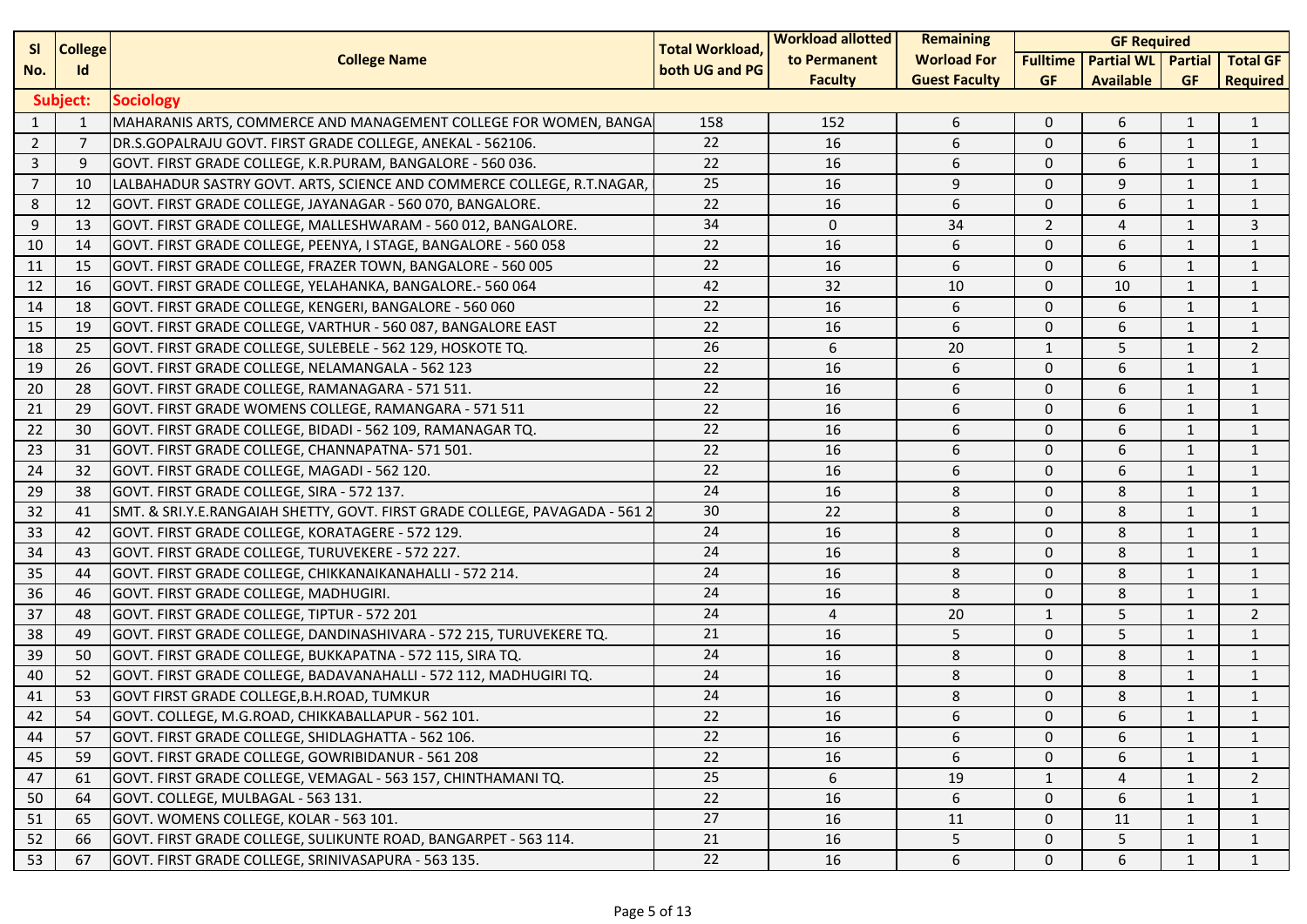| <b>SI</b>      | <b>College</b> |                                                                             | <b>Total Workload,</b> | <b>Workload allotted</b> | <b>Remaining</b>     |                 | <b>GF Required</b>        |              |                 |
|----------------|----------------|-----------------------------------------------------------------------------|------------------------|--------------------------|----------------------|-----------------|---------------------------|--------------|-----------------|
| No.            | <b>Id</b>      | <b>College Name</b>                                                         | both UG and PG         | to Permanent             | <b>Worload For</b>   | <b>Fulltime</b> | <b>Partial WL</b> Partial |              | <b>Total GF</b> |
|                |                |                                                                             |                        | <b>Faculty</b>           | <b>Guest Faculty</b> | <b>GF</b>       | <b>Available</b>          | <b>GF</b>    | <b>Required</b> |
|                | Subject:       | <b>Sociology</b>                                                            |                        |                          |                      |                 |                           |              |                 |
| 1              | $\mathbf{1}$   | MAHARANIS ARTS, COMMERCE AND MANAGEMENT COLLEGE FOR WOMEN, BANGA            | 158                    | 152                      | 6                    | $\mathbf 0$     | 6                         | 1            | 1               |
| $\overline{2}$ | $\overline{7}$ | DR.S.GOPALRAJU GOVT. FIRST GRADE COLLEGE, ANEKAL - 562106.                  | 22                     | 16                       | $\boldsymbol{6}$     | $\mathbf 0$     | 6                         | 1            | $\mathbf{1}$    |
| 3              | 9              | GOVT. FIRST GRADE COLLEGE, K.R.PURAM, BANGALORE - 560 036.                  | 22                     | 16                       | 6                    | $\mathbf 0$     | 6                         | 1            | 1               |
| $\overline{7}$ | 10             | LALBAHADUR SASTRY GOVT. ARTS, SCIENCE AND COMMERCE COLLEGE, R.T.NAGAR,      | 25                     | 16                       | 9                    | $\mathbf{0}$    | 9                         | $\mathbf{1}$ | $\mathbf{1}$    |
| 8              | 12             | GOVT. FIRST GRADE COLLEGE, JAYANAGAR - 560 070, BANGALORE.                  | 22                     | 16                       | 6                    | $\mathbf{0}$    | 6                         | 1            | 1               |
| 9              | 13             | GOVT. FIRST GRADE COLLEGE, MALLESHWARAM - 560 012, BANGALORE.               | 34                     | $\mathbf 0$              | 34                   | $\overline{2}$  | 4                         | 1            | 3               |
| 10             | 14             | GOVT. FIRST GRADE COLLEGE, PEENYA, I STAGE, BANGALORE - 560 058             | 22                     | 16                       | 6                    | $\mathbf 0$     | 6                         | 1            | $\mathbf{1}$    |
| 11             | 15             | GOVT. FIRST GRADE COLLEGE, FRAZER TOWN, BANGALORE - 560 005                 | 22                     | 16                       | 6                    | $\mathbf 0$     | 6                         | 1            | 1               |
| 12             | 16             | GOVT. FIRST GRADE COLLEGE, YELAHANKA, BANGALORE.- 560 064                   | 42                     | 32                       | 10                   | $\mathbf 0$     | 10                        | $\mathbf{1}$ | $\mathbf{1}$    |
| 14             | 18             | GOVT. FIRST GRADE COLLEGE, KENGERI, BANGALORE - 560 060                     | 22                     | 16                       | 6                    | $\mathbf{0}$    | 6                         | $\mathbf{1}$ | $\mathbf{1}$    |
| 15             | 19             | GOVT. FIRST GRADE COLLEGE, VARTHUR - 560 087, BANGALORE EAST                | 22                     | 16                       | $\boldsymbol{6}$     | $\mathbf 0$     | 6                         | $\mathbf{1}$ | $\mathbf{1}$    |
| 18             | 25             | GOVT. FIRST GRADE COLLEGE, SULEBELE - 562 129, HOSKOTE TQ.                  | 26                     | 6                        | 20                   | $\mathbf{1}$    | 5                         | 1            | $\overline{2}$  |
| 19             | 26             | GOVT. FIRST GRADE COLLEGE, NELAMANGALA - 562 123                            | 22                     | 16                       | 6                    | $\mathbf 0$     | 6                         | 1            | $\mathbf{1}$    |
| 20             | 28             | GOVT. FIRST GRADE COLLEGE, RAMANAGARA - 571 511.                            | 22                     | 16                       | 6                    | $\mathbf 0$     | 6                         | $\mathbf{1}$ | $\mathbf{1}$    |
| 21             | 29             | GOVT. FIRST GRADE WOMENS COLLEGE, RAMANGARA - 571 511                       | 22                     | 16                       | 6                    | $\mathbf 0$     | 6                         | $\mathbf{1}$ | 1               |
| 22             | 30             | GOVT. FIRST GRADE COLLEGE, BIDADI - 562 109, RAMANAGAR TQ.                  | 22                     | 16                       | 6                    | $\mathbf 0$     | 6                         | 1            | $\mathbf{1}$    |
| 23             | 31             | GOVT. FIRST GRADE COLLEGE, CHANNAPATNA- 571 501.                            | 22                     | 16                       | 6                    | $\mathbf 0$     | 6                         | 1            | 1               |
| 24             | 32             | GOVT. FIRST GRADE COLLEGE, MAGADI - 562 120.                                | 22                     | 16                       | 6                    | $\mathbf{0}$    | 6                         | 1            | 1               |
| 29             | 38             | GOVT. FIRST GRADE COLLEGE, SIRA - 572 137.                                  | 24                     | 16                       | 8                    | $\mathbf 0$     | 8                         | $\mathbf{1}$ | $\mathbf{1}$    |
| 32             | 41             | SMT. & SRI.Y.E.RANGAIAH SHETTY, GOVT. FIRST GRADE COLLEGE, PAVAGADA - 561 2 | 30                     | 22                       | 8                    | $\mathbf{0}$    | 8                         | $\mathbf{1}$ | 1               |
| 33             | 42             | GOVT. FIRST GRADE COLLEGE, KORATAGERE - 572 129.                            | 24                     | 16                       | 8                    | $\mathbf 0$     | 8                         | 1            | $\mathbf{1}$    |
| 34             | 43             | GOVT. FIRST GRADE COLLEGE, TURUVEKERE - 572 227.                            | 24                     | 16                       | 8                    | $\mathbf 0$     | 8                         | $\mathbf{1}$ | 1               |
| 35             | 44             | GOVT. FIRST GRADE COLLEGE, CHIKKANAIKANAHALLI - 572 214.                    | 24                     | 16                       | 8                    | $\mathbf 0$     | 8                         | 1            | 1               |
| 36             | 46             | GOVT. FIRST GRADE COLLEGE, MADHUGIRI.                                       | 24                     | 16                       | 8                    | $\mathbf 0$     | 8                         | 1            | $\mathbf{1}$    |
| 37             | 48             | GOVT. FIRST GRADE COLLEGE, TIPTUR - 572 201                                 | 24                     | $\overline{4}$           | 20                   | $\mathbf{1}$    | 5                         | $\mathbf{1}$ | 2               |
| 38             | 49             | GOVT. FIRST GRADE COLLEGE, DANDINASHIVARA - 572 215, TURUVEKERE TQ.         | 21                     | 16                       | 5                    | $\mathbf 0$     | 5                         | 1            | $\mathbf{1}$    |
| 39             | 50             | GOVT. FIRST GRADE COLLEGE, BUKKAPATNA - 572 115, SIRA TQ.                   | 24                     | 16                       | 8                    | $\mathbf 0$     | 8                         | $\mathbf{1}$ | 1               |
| 40             | 52             | GOVT. FIRST GRADE COLLEGE, BADAVANAHALLI - 572 112, MADHUGIRI TQ.           | 24                     | 16                       | 8                    | $\mathbf 0$     | 8                         | $\mathbf{1}$ | 1               |
| 41             | 53             | GOVT FIRST GRADE COLLEGE, B.H.ROAD, TUMKUR                                  | 24                     | 16                       | 8                    | $\mathbf{0}$    | 8                         | 1            | $\mathbf{1}$    |
| 42             | 54             | GOVT. COLLEGE, M.G.ROAD, CHIKKABALLAPUR - 562 101.                          | 22                     | 16                       | 6                    | $\mathbf 0$     | 6                         | 1            | 1               |
| 44             | 57             | GOVT. FIRST GRADE COLLEGE, SHIDLAGHATTA - 562 106.                          | 22                     | 16                       | 6                    | $\mathbf 0$     | 6                         | 1            | 1               |
| 45             | 59             | GOVT. FIRST GRADE COLLEGE, GOWRIBIDANUR - 561 208                           | 22                     | 16                       | 6                    | $\mathbf 0$     | 6                         | 1            | 1               |
| 47             | 61             | GOVT. FIRST GRADE COLLEGE, VEMAGAL - 563 157, CHINTHAMANI TQ.               | 25                     | 6                        | 19                   | $\mathbf{1}$    | 4                         | 1            | $\overline{2}$  |
| 50             | 64             | GOVT. COLLEGE, MULBAGAL - 563 131.                                          | 22                     | 16                       | 6                    | 0               | 6                         | $\mathbf{1}$ | $\mathbf{1}$    |
| 51             | 65             | GOVT. WOMENS COLLEGE, KOLAR - 563 101.                                      | 27                     | 16                       | 11                   | $\mathbf{0}$    | 11                        | $\mathbf{1}$ | $\mathbf{1}$    |
| 52             | 66             | GOVT. FIRST GRADE COLLEGE, SULIKUNTE ROAD, BANGARPET - 563 114.             | 21                     | 16                       | 5                    | 0               | 5                         | 1            | 1               |
| 53             | 67             | GOVT. FIRST GRADE COLLEGE, SRINIVASAPURA - 563 135.                         | 22                     | 16                       | 6                    | 0               | 6                         | $\mathbf{1}$ | $\mathbf{1}$    |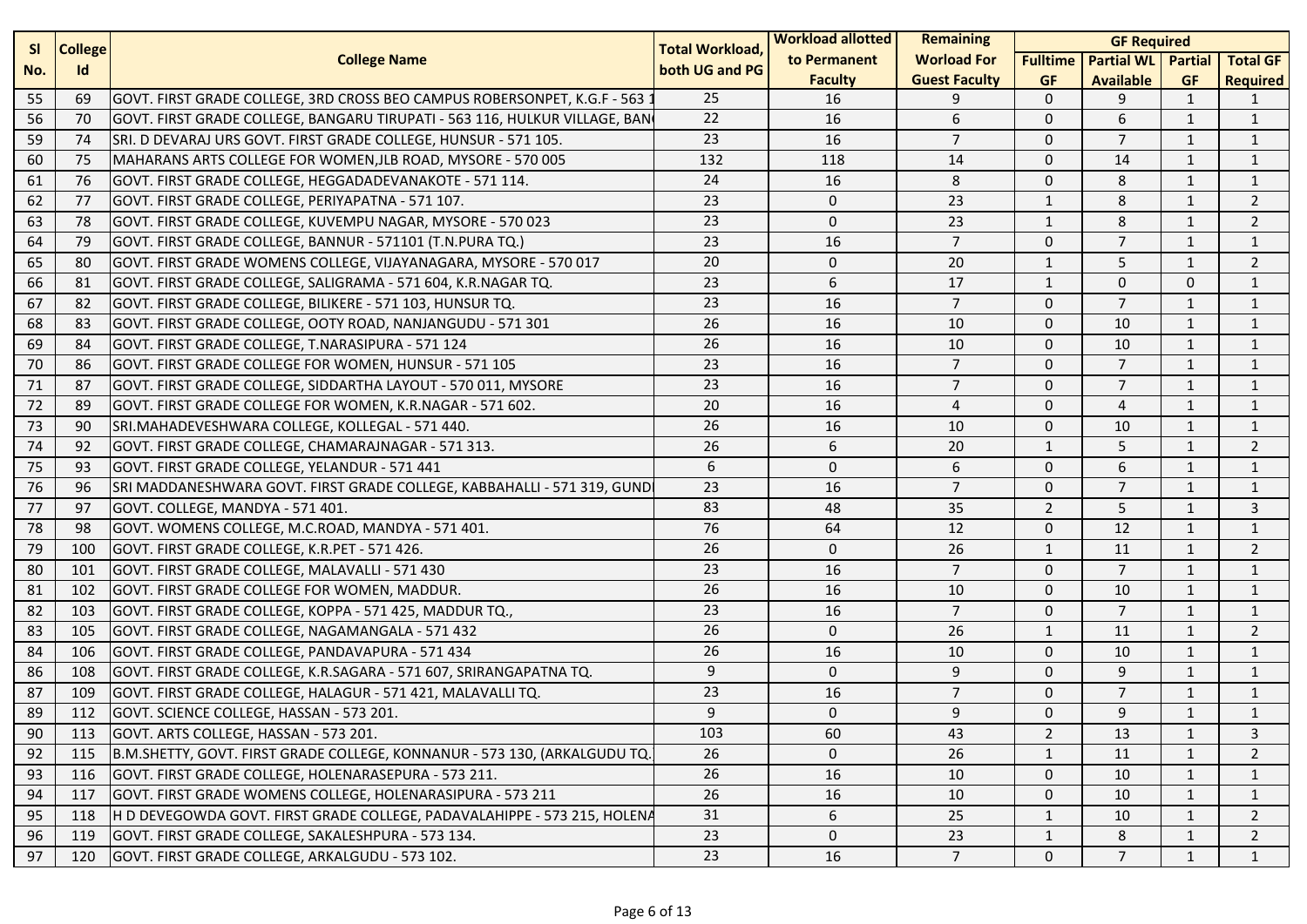| <b>SI</b><br><b>College</b> |     | <b>Total Workload,</b>                                                     | <b>Workload allotted</b> | Remaining      | <b>GF Required</b>   |                 |                           |              |                 |
|-----------------------------|-----|----------------------------------------------------------------------------|--------------------------|----------------|----------------------|-----------------|---------------------------|--------------|-----------------|
| No.                         | Id  | <b>College Name</b>                                                        | both UG and PG           | to Permanent   | <b>Worload For</b>   | <b>Fulltime</b> | <b>Partial WL</b> Partial |              | <b>Total GF</b> |
|                             |     |                                                                            |                          | <b>Faculty</b> | <b>Guest Faculty</b> | <b>GF</b>       | <b>Available</b>          | <b>GF</b>    | <b>Required</b> |
| 55                          | 69  | GOVT. FIRST GRADE COLLEGE, 3RD CROSS BEO CAMPUS ROBERSONPET, K.G.F - 563 : | 25                       | 16             | 9                    | $\mathbf{0}$    | 9                         | 1            | 1               |
| 56                          | 70  | GOVT. FIRST GRADE COLLEGE, BANGARU TIRUPATI - 563 116, HULKUR VILLAGE, BAN | 22                       | 16             | 6                    | $\mathbf{0}$    | 6                         | 1            | $\mathbf{1}$    |
| 59                          | 74  | SRI. D DEVARAJ URS GOVT. FIRST GRADE COLLEGE, HUNSUR - 571 105.            | 23                       | 16             | $\overline{7}$       | $\mathbf 0$     | $\overline{7}$            | 1            | $\mathbf{1}$    |
| 60                          | 75  | MAHARANS ARTS COLLEGE FOR WOMEN, JLB ROAD, MYSORE - 570 005                | 132                      | 118            | 14                   | $\mathbf{0}$    | 14                        | 1            | $\mathbf{1}$    |
| 61                          | 76  | GOVT. FIRST GRADE COLLEGE, HEGGADADEVANAKOTE - 571 114.                    | 24                       | 16             | 8                    | $\mathbf{0}$    | 8                         | 1            | $\mathbf{1}$    |
| 62                          | 77  | GOVT. FIRST GRADE COLLEGE, PERIYAPATNA - 571 107.                          | 23                       | $\mathbf 0$    | 23                   | $\mathbf{1}$    | 8                         | $\mathbf{1}$ | $\overline{2}$  |
| 63                          | 78  | GOVT. FIRST GRADE COLLEGE, KUVEMPU NAGAR, MYSORE - 570 023                 | 23                       | $\mathbf 0$    | 23                   | $\mathbf{1}$    | 8                         | $\mathbf{1}$ | $\overline{2}$  |
| 64                          | 79  | GOVT. FIRST GRADE COLLEGE, BANNUR - 571101 (T.N.PURA TQ.)                  | 23                       | 16             | $\overline{7}$       | $\mathbf{0}$    | $\overline{7}$            | $\mathbf{1}$ | $\mathbf{1}$    |
| 65                          | 80  | GOVT. FIRST GRADE WOMENS COLLEGE, VIJAYANAGARA, MYSORE - 570 017           | 20                       | $\mathbf 0$    | 20                   | $\mathbf{1}$    | 5                         | 1            | $\overline{2}$  |
| 66                          | 81  | GOVT. FIRST GRADE COLLEGE, SALIGRAMA - 571 604, K.R.NAGAR TQ.              | 23                       | 6              | 17                   | $\mathbf{1}$    | $\mathbf 0$               | $\Omega$     | $\mathbf{1}$    |
| 67                          | 82  | GOVT. FIRST GRADE COLLEGE, BILIKERE - 571 103, HUNSUR TQ.                  | 23                       | 16             | $\overline{7}$       | $\mathbf{0}$    | $\overline{7}$            | 1            | 1               |
| 68                          | 83  | GOVT. FIRST GRADE COLLEGE, OOTY ROAD, NANJANGUDU - 571 301                 | 26                       | 16             | 10                   | $\mathbf{0}$    | 10                        | $\mathbf{1}$ | $\mathbf{1}$    |
| 69                          | 84  | GOVT. FIRST GRADE COLLEGE, T.NARASIPURA - 571 124                          | 26                       | 16             | 10                   | $\mathbf{0}$    | 10                        | $\mathbf{1}$ | $\mathbf{1}$    |
| 70                          | 86  | GOVT. FIRST GRADE COLLEGE FOR WOMEN, HUNSUR - 571 105                      | 23                       | 16             | $\overline{7}$       | $\mathbf{0}$    | $\overline{7}$            | 1            | $\mathbf{1}$    |
| 71                          | 87  | GOVT. FIRST GRADE COLLEGE, SIDDARTHA LAYOUT - 570 011, MYSORE              | 23                       | 16             | $\overline{7}$       | $\mathbf{0}$    | $\overline{7}$            | 1            | $\mathbf{1}$    |
| 72                          | 89  | GOVT. FIRST GRADE COLLEGE FOR WOMEN, K.R.NAGAR - 571 602.                  | 20                       | 16             | $\overline{4}$       | $\mathbf{0}$    | $\overline{4}$            | $\mathbf{1}$ | 1               |
| 73                          | 90  | SRI.MAHADEVESHWARA COLLEGE, KOLLEGAL - 571 440.                            | 26                       | 16             | 10                   | $\mathbf{0}$    | 10                        | $\mathbf{1}$ | $\mathbf{1}$    |
| 74                          | 92  | GOVT. FIRST GRADE COLLEGE, CHAMARAJNAGAR - 571 313.                        | 26                       | 6              | 20                   | $\mathbf{1}$    | 5                         | $\mathbf{1}$ | $\overline{2}$  |
| 75                          | 93  | GOVT. FIRST GRADE COLLEGE, YELANDUR - 571 441                              | 6                        | $\mathbf 0$    | 6                    | $\mathbf{0}$    | 6                         | 1            | $\mathbf{1}$    |
| 76                          | 96  | SRI MADDANESHWARA GOVT. FIRST GRADE COLLEGE, KABBAHALLI - 571 319, GUND    | 23                       | 16             | $\overline{7}$       | $\mathbf{0}$    | $\overline{7}$            | 1            | $\mathbf{1}$    |
| 77                          | 97  | GOVT. COLLEGE, MANDYA - 571 401.                                           | 83                       | 48             | 35                   | $\overline{2}$  | 5                         | $\mathbf{1}$ | 3               |
| 78                          | 98  | GOVT. WOMENS COLLEGE, M.C.ROAD, MANDYA - 571 401.                          | 76                       | 64             | 12                   | $\mathbf 0$     | 12                        | $\mathbf{1}$ | $\mathbf{1}$    |
| 79                          | 100 | GOVT. FIRST GRADE COLLEGE, K.R.PET - 571 426.                              | 26                       | $\mathbf 0$    | 26                   | $\mathbf{1}$    | 11                        | 1            | $\overline{2}$  |
| 80                          | 101 | GOVT. FIRST GRADE COLLEGE, MALAVALLI - 571 430                             | 23                       | 16             | $\overline{7}$       | $\mathbf 0$     | $\overline{7}$            | 1            | $\mathbf{1}$    |
| 81                          | 102 | GOVT. FIRST GRADE COLLEGE FOR WOMEN, MADDUR.                               | 26                       | 16             | 10                   | $\mathbf{0}$    | 10                        | 1            | $\mathbf{1}$    |
| 82                          | 103 | GOVT. FIRST GRADE COLLEGE, KOPPA - 571 425, MADDUR TQ.,                    | 23                       | 16             | $\overline{7}$       | $\mathbf{0}$    | $\overline{7}$            | $\mathbf{1}$ | $\mathbf{1}$    |
| 83                          | 105 | GOVT. FIRST GRADE COLLEGE, NAGAMANGALA - 571 432                           | 26                       | $\mathbf 0$    | 26                   | $\mathbf{1}$    | 11                        | $\mathbf{1}$ | $\overline{2}$  |
| 84                          | 106 | GOVT. FIRST GRADE COLLEGE, PANDAVAPURA - 571 434                           | 26                       | 16             | 10                   | $\mathbf{0}$    | 10                        | $\mathbf{1}$ | $\mathbf{1}$    |
| 86                          | 108 | GOVT. FIRST GRADE COLLEGE, K.R.SAGARA - 571 607, SRIRANGAPATNA TQ.         | 9                        | $\mathbf 0$    | 9                    | $\mathbf{0}$    | 9                         | $\mathbf{1}$ | $\mathbf{1}$    |
| 87                          | 109 | GOVT. FIRST GRADE COLLEGE, HALAGUR - 571 421, MALAVALLI TQ.                | 23                       | 16             | $\overline{7}$       | $\mathbf{0}$    | $\overline{7}$            | 1            | $\mathbf{1}$    |
| 89                          | 112 | GOVT. SCIENCE COLLEGE, HASSAN - 573 201.                                   | 9                        | $\mathbf 0$    | 9                    | $\Omega$        | 9                         | $\mathbf{1}$ | $\mathbf{1}$    |
| 90                          | 113 | GOVT. ARTS COLLEGE, HASSAN - 573 201.                                      | 103                      | 60             | 43                   | $\overline{2}$  | 13                        | 1            | 3               |
| 92                          | 115 | B.M.SHETTY, GOVT. FIRST GRADE COLLEGE, KONNANUR - 573 130, (ARKALGUDU TQ.  | 26                       | $\Omega$       | 26                   | $\mathbf{1}$    | 11                        | 1            | $\overline{2}$  |
| 93                          | 116 | GOVT. FIRST GRADE COLLEGE, HOLENARASEPURA - 573 211.                       | 26                       | 16             | 10                   | $\mathbf 0$     | 10                        | 1            | $\mathbf{1}$    |
| 94                          | 117 | GOVT. FIRST GRADE WOMENS COLLEGE, HOLENARASIPURA - 573 211                 | 26                       | 16             | 10                   | 0               | 10                        | 1            | 1               |
| 95                          | 118 | H D DEVEGOWDA GOVT. FIRST GRADE COLLEGE, PADAVALAHIPPE - 573 215, HOLENA   | 31                       | 6              | 25                   | $\mathbf{1}$    | 10                        | 1            | $\overline{2}$  |
| 96                          | 119 | GOVT. FIRST GRADE COLLEGE, SAKALESHPURA - 573 134.                         | 23                       | 0              | 23                   | $\mathbf{1}$    | 8                         | $\mathbf{1}$ | $\overline{2}$  |
| 97                          | 120 | GOVT. FIRST GRADE COLLEGE, ARKALGUDU - 573 102.                            | 23                       | 16             | 7 <sup>7</sup>       | $\mathbf 0$     | $\overline{7}$            | $\mathbf{1}$ | $\mathbf{1}$    |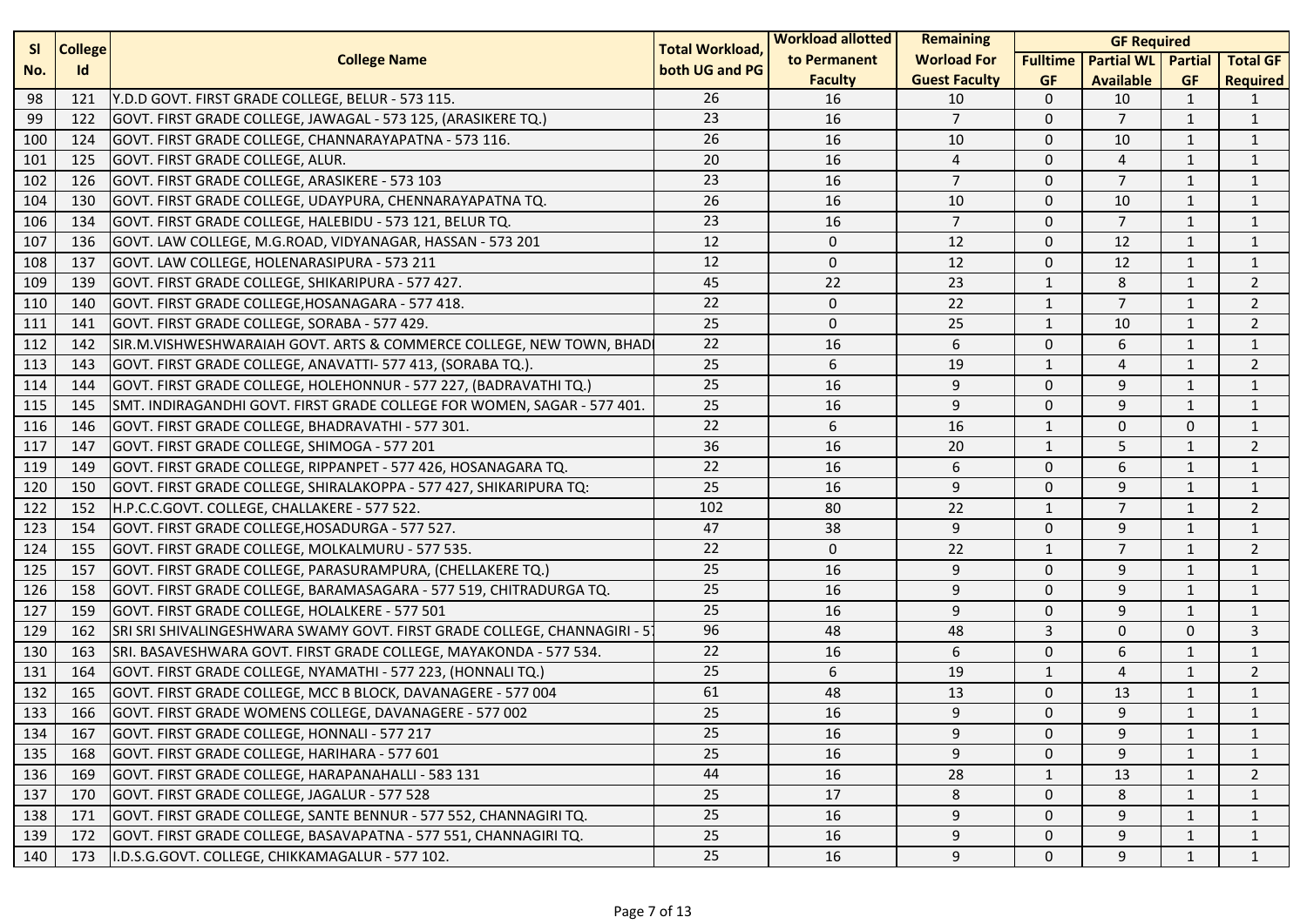| <b>SI</b><br><b>College</b> |     | <b>Total Workload,</b>                                                   | <b>Workload allotted</b> | <b>Remaining</b> | <b>GF Required</b>   |                 |                   |                |                 |
|-----------------------------|-----|--------------------------------------------------------------------------|--------------------------|------------------|----------------------|-----------------|-------------------|----------------|-----------------|
| No.                         | Id  | <b>College Name</b>                                                      | both UG and PG           | to Permanent     | <b>Worload For</b>   | <b>Fulltime</b> | <b>Partial WL</b> | <b>Partial</b> | <b>Total GF</b> |
|                             |     |                                                                          |                          | <b>Faculty</b>   | <b>Guest Faculty</b> | <b>GF</b>       | <b>Available</b>  | <b>GF</b>      | <b>Required</b> |
| 98                          | 121 | Y.D.D GOVT. FIRST GRADE COLLEGE, BELUR - 573 115.                        | 26                       | 16               | 10                   | $\mathbf 0$     | 10                | $\mathbf{1}$   | -1              |
| 99                          | 122 | GOVT. FIRST GRADE COLLEGE, JAWAGAL - 573 125, (ARASIKERE TQ.)            | 23                       | 16               | $\overline{7}$       | $\mathbf 0$     | $\overline{7}$    | $\mathbf{1}$   | $\mathbf{1}$    |
| 100                         | 124 | GOVT. FIRST GRADE COLLEGE, CHANNARAYAPATNA - 573 116.                    | 26                       | 16               | 10                   | $\mathbf 0$     | 10                | $\mathbf{1}$   | $\mathbf{1}$    |
| 101                         | 125 | GOVT. FIRST GRADE COLLEGE, ALUR.                                         | 20                       | 16               | $\overline{4}$       | $\mathbf 0$     | 4                 | $\mathbf{1}$   | $\mathbf{1}$    |
| 102                         | 126 | GOVT. FIRST GRADE COLLEGE, ARASIKERE - 573 103                           | 23                       | 16               | $\overline{7}$       | $\mathbf 0$     | $\overline{7}$    | $\mathbf{1}$   | $\mathbf{1}$    |
| 104                         | 130 | GOVT. FIRST GRADE COLLEGE, UDAYPURA, CHENNARAYAPATNA TQ.                 | 26                       | 16               | 10                   | $\mathbf 0$     | 10                | $\mathbf{1}$   | $\mathbf{1}$    |
| 106                         | 134 | GOVT. FIRST GRADE COLLEGE, HALEBIDU - 573 121, BELUR TQ.                 | 23                       | 16               | $\overline{7}$       | $\mathbf 0$     | $\overline{7}$    | $\mathbf{1}$   | $\mathbf{1}$    |
| 107                         | 136 | GOVT. LAW COLLEGE, M.G.ROAD, VIDYANAGAR, HASSAN - 573 201                | 12                       | $\Omega$         | 12                   | $\mathbf 0$     | 12                | $\mathbf{1}$   | $\mathbf{1}$    |
| 108                         | 137 | GOVT. LAW COLLEGE, HOLENARASIPURA - 573 211                              | 12                       | $\mathbf 0$      | 12                   | $\mathbf 0$     | 12                | $\mathbf{1}$   | $\mathbf{1}$    |
| 109                         | 139 | GOVT. FIRST GRADE COLLEGE, SHIKARIPURA - 577 427.                        | 45                       | 22               | 23                   | $\mathbf{1}$    | 8                 | $\mathbf{1}$   | $\overline{2}$  |
| 110                         | 140 | GOVT. FIRST GRADE COLLEGE, HOSANAGARA - 577 418.                         | 22                       | $\mathbf 0$      | 22                   | $\mathbf{1}$    | $\overline{7}$    | $\mathbf{1}$   | $\overline{2}$  |
| 111                         | 141 | GOVT. FIRST GRADE COLLEGE, SORABA - 577 429.                             | 25                       | $\mathbf 0$      | 25                   | $\mathbf{1}$    | 10                | $\mathbf{1}$   | $\overline{2}$  |
| 112                         | 142 | SIR.M.VISHWESHWARAIAH GOVT. ARTS & COMMERCE COLLEGE, NEW TOWN, BHAD      | 22                       | 16               | 6                    | $\mathbf 0$     | 6                 | $\mathbf{1}$   | $\mathbf{1}$    |
| 113                         | 143 | GOVT. FIRST GRADE COLLEGE, ANAVATTI- 577 413, (SORABA TQ.).              | 25                       | 6                | 19                   | 1               | 4                 | $\mathbf{1}$   | $\overline{2}$  |
| 114                         | 144 | GOVT. FIRST GRADE COLLEGE, HOLEHONNUR - 577 227, (BADRAVATHI TQ.)        | 25                       | 16               | 9                    | $\mathbf 0$     | 9                 | $\mathbf{1}$   | $\mathbf{1}$    |
| 115                         | 145 | SMT. INDIRAGANDHI GOVT. FIRST GRADE COLLEGE FOR WOMEN, SAGAR - 577 401.  | 25                       | 16               | 9                    | $\mathbf 0$     | 9                 | $\mathbf{1}$   | $\mathbf{1}$    |
| 116                         | 146 | GOVT. FIRST GRADE COLLEGE, BHADRAVATHI - 577 301.                        | 22                       | 6                | 16                   | $\mathbf{1}$    | 0                 | $\mathbf{0}$   | $\mathbf{1}$    |
| 117                         | 147 | GOVT. FIRST GRADE COLLEGE, SHIMOGA - 577 201                             | 36                       | 16               | 20                   | $\mathbf{1}$    | 5                 | $\mathbf{1}$   | $\overline{2}$  |
| 119                         | 149 | GOVT. FIRST GRADE COLLEGE, RIPPANPET - 577 426, HOSANAGARA TQ.           | 22                       | 16               | 6                    | $\mathbf 0$     | 6                 | $\mathbf{1}$   | $\mathbf{1}$    |
| 120                         | 150 | GOVT. FIRST GRADE COLLEGE, SHIRALAKOPPA - 577 427, SHIKARIPURA TQ:       | 25                       | 16               | 9                    | $\mathbf 0$     | 9                 | $\mathbf{1}$   | $\mathbf{1}$    |
| 122                         | 152 | H.P.C.C.GOVT. COLLEGE, CHALLAKERE - 577 522.                             | 102                      | 80               | 22                   | $\mathbf{1}$    | $\overline{7}$    | $\mathbf{1}$   | $\overline{2}$  |
| 123                         | 154 | GOVT. FIRST GRADE COLLEGE, HOSADURGA - 577 527.                          | 47                       | 38               | 9                    | $\mathbf 0$     | 9                 | $\mathbf{1}$   | $\mathbf{1}$    |
| 124                         | 155 | GOVT. FIRST GRADE COLLEGE, MOLKALMURU - 577 535.                         | 22                       | $\mathbf 0$      | 22                   | $\mathbf{1}$    | $7\overline{ }$   | $\mathbf{1}$   | $\overline{2}$  |
| 125                         | 157 | GOVT. FIRST GRADE COLLEGE, PARASURAMPURA, (CHELLAKERE TQ.)               | 25                       | 16               | 9                    | $\mathbf 0$     | 9                 | $\mathbf{1}$   | $\mathbf{1}$    |
| 126                         | 158 | GOVT. FIRST GRADE COLLEGE, BARAMASAGARA - 577 519, CHITRADURGA TQ.       | 25                       | 16               | 9                    | $\mathbf 0$     | 9                 | $\mathbf{1}$   | $\mathbf{1}$    |
| 127                         | 159 | GOVT. FIRST GRADE COLLEGE, HOLALKERE - 577 501                           | 25                       | 16               | 9                    | $\mathbf 0$     | 9                 | $\mathbf{1}$   | $\mathbf{1}$    |
| 129                         | 162 | SRI SRI SHIVALINGESHWARA SWAMY GOVT. FIRST GRADE COLLEGE, CHANNAGIRI - 5 | 96                       | 48               | 48                   | 3               | $\mathbf 0$       | $\mathbf{0}$   | 3               |
| 130                         | 163 | SRI. BASAVESHWARA GOVT. FIRST GRADE COLLEGE, MAYAKONDA - 577 534.        | 22                       | 16               | 6                    | $\mathbf 0$     | 6                 | $\mathbf{1}$   | $\mathbf{1}$    |
| 131                         | 164 | GOVT. FIRST GRADE COLLEGE, NYAMATHI - 577 223, (HONNALI TQ.)             | 25                       | 6                | 19                   | 1               | 4                 | $\mathbf{1}$   | 2               |
| 132                         | 165 | GOVT. FIRST GRADE COLLEGE, MCC B BLOCK, DAVANAGERE - 577 004             | 61                       | 48               | 13                   | $\mathbf 0$     | 13                | $\mathbf{1}$   | $\mathbf{1}$    |
| 133                         | 166 | GOVT. FIRST GRADE WOMENS COLLEGE, DAVANAGERE - 577 002                   | 25                       | 16               | 9                    | $\Omega$        | 9                 | $\mathbf{1}$   | $\mathbf{1}$    |
| 134                         | 167 | GOVT. FIRST GRADE COLLEGE, HONNALI - 577 217                             | 25                       | 16               | 9                    | 0               | 9                 | 1              | 1               |
| 135                         | 168 | GOVT. FIRST GRADE COLLEGE, HARIHARA - 577 601                            | 25                       | 16               | 9                    | $\Omega$        | 9                 | $\mathbf{1}$   | $\mathbf{1}$    |
| 136                         | 169 | GOVT. FIRST GRADE COLLEGE, HARAPANAHALLI - 583 131                       | 44                       | 16               | 28                   | $\mathbf{1}$    | 13                | 1              | 2               |
| 137                         | 170 | GOVT. FIRST GRADE COLLEGE, JAGALUR - 577 528                             | 25                       | 17               | 8                    | 0               | 8                 | 1              | 1               |
| 138                         | 171 | GOVT. FIRST GRADE COLLEGE, SANTE BENNUR - 577 552, CHANNAGIRI TQ.        | 25                       | 16               | 9                    | 0               | 9                 | 1              | $\mathbf{1}$    |
| 139                         | 172 | GOVT. FIRST GRADE COLLEGE, BASAVAPATNA - 577 551, CHANNAGIRI TQ.         | 25                       | 16               | 9                    | 0               | 9                 | $\mathbf{1}$   | $\mathbf{1}$    |
| 140                         | 173 | I.D.S.G.GOVT. COLLEGE, CHIKKAMAGALUR - 577 102.                          | 25                       | 16               | 9                    | $\mathbf 0$     | 9                 | $\mathbf{1}$   | $\mathbf{1}$    |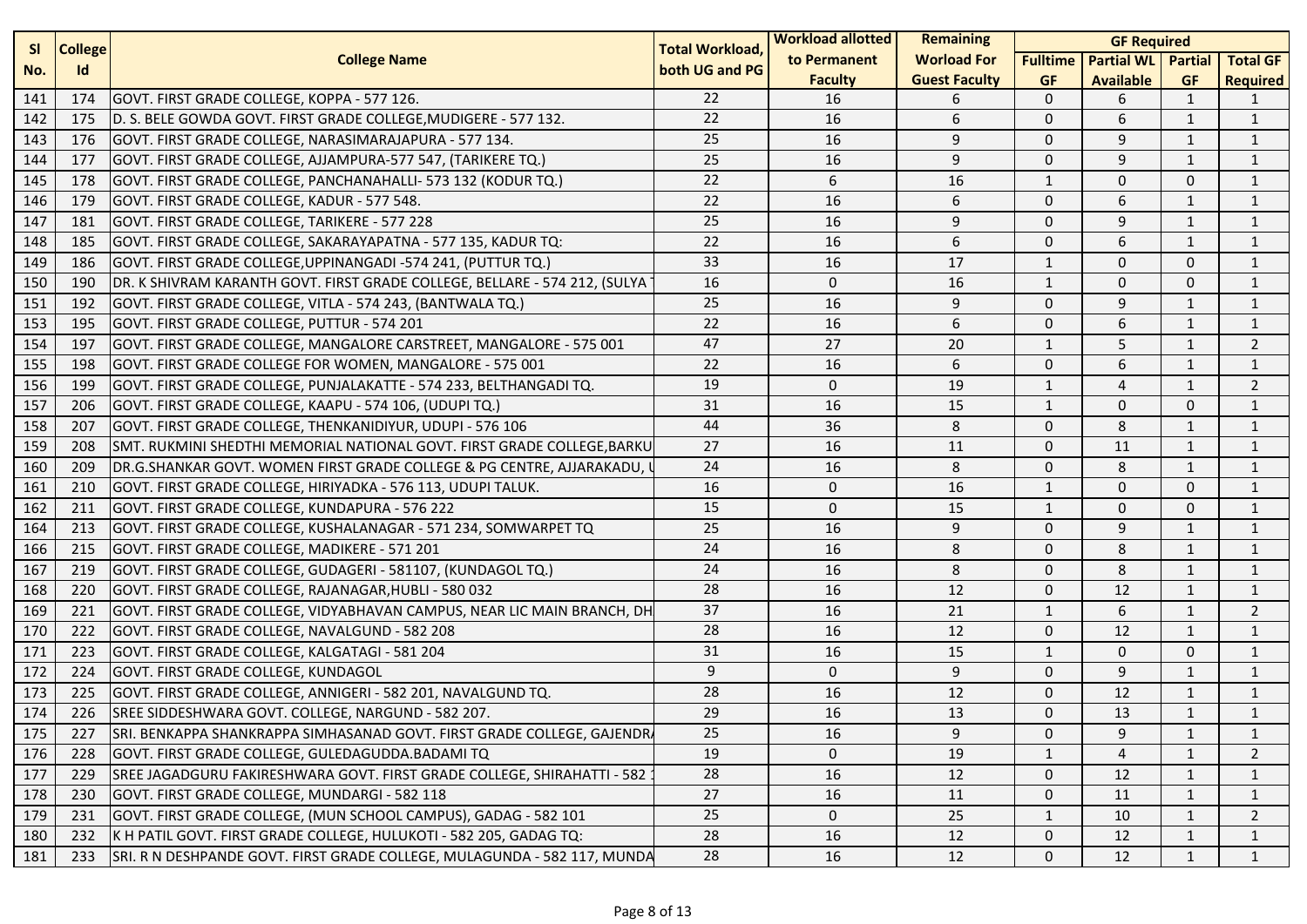| <b>SI</b><br><b>College</b> |     |                                                                            | <b>Total Workload,</b> | <b>Workload allotted</b> | Remaining            | <b>GF Required</b> |                           |              |                 |  |
|-----------------------------|-----|----------------------------------------------------------------------------|------------------------|--------------------------|----------------------|--------------------|---------------------------|--------------|-----------------|--|
| No.                         | Id  | <b>College Name</b>                                                        | both UG and PG         | to Permanent             | <b>Worload For</b>   | <b>Fulltime</b>    | <b>Partial WL</b> Partial |              | <b>Total GF</b> |  |
|                             |     |                                                                            |                        | <b>Faculty</b>           | <b>Guest Faculty</b> | <b>GF</b>          | <b>Available</b>          | <b>GF</b>    | <b>Required</b> |  |
| 141                         | 174 | GOVT. FIRST GRADE COLLEGE, KOPPA - 577 126.                                | 22                     | 16                       | 6                    | $\mathbf{0}$       | 6                         | 1            | 1               |  |
| 142                         | 175 | D. S. BELE GOWDA GOVT. FIRST GRADE COLLEGE, MUDIGERE - 577 132.            | 22                     | 16                       | 6                    | $\mathbf{0}$       | 6                         | $\mathbf{1}$ | 1               |  |
| 143                         | 176 | GOVT. FIRST GRADE COLLEGE, NARASIMARAJAPURA - 577 134.                     | 25                     | 16                       | 9                    | $\mathbf 0$        | 9                         | 1            | 1               |  |
| 144                         | 177 | GOVT. FIRST GRADE COLLEGE, AJJAMPURA-577 547, (TARIKERE TQ.)               | 25                     | 16                       | 9                    | $\mathbf 0$        | 9                         | 1            | 1               |  |
| 145                         | 178 | GOVT. FIRST GRADE COLLEGE, PANCHANAHALLI- 573 132 (KODUR TQ.)              | 22                     | 6                        | 16                   | $\mathbf{1}$       | $\mathbf 0$               | $\Omega$     | 1               |  |
| 146                         | 179 | GOVT. FIRST GRADE COLLEGE, KADUR - 577 548.                                | 22                     | 16                       | 6                    | $\mathbf 0$        | 6                         | 1            | 1               |  |
| 147                         | 181 | GOVT. FIRST GRADE COLLEGE, TARIKERE - 577 228                              | 25                     | 16                       | 9                    | $\mathbf{0}$       | 9                         | $\mathbf{1}$ | $\mathbf{1}$    |  |
| 148                         | 185 | GOVT. FIRST GRADE COLLEGE, SAKARAYAPATNA - 577 135, KADUR TQ:              | 22                     | 16                       | 6                    | $\mathbf{0}$       | 6                         | 1            | $\mathbf{1}$    |  |
| 149                         | 186 | GOVT. FIRST GRADE COLLEGE, UPPINANGADI -574 241, (PUTTUR TQ.)              | 33                     | 16                       | 17                   | $\mathbf{1}$       | $\Omega$                  | $\Omega$     | $\mathbf{1}$    |  |
| 150                         | 190 | DR. K SHIVRAM KARANTH GOVT. FIRST GRADE COLLEGE, BELLARE - 574 212, (SULYA | 16                     | $\mathbf 0$              | 16                   | $\mathbf{1}$       | $\mathbf 0$               | $\Omega$     | $\mathbf{1}$    |  |
| 151                         | 192 | GOVT. FIRST GRADE COLLEGE, VITLA - 574 243, (BANTWALA TQ.)                 | 25                     | 16                       | 9                    | $\mathbf 0$        | 9                         | $\mathbf{1}$ | 1               |  |
| 153                         | 195 | GOVT. FIRST GRADE COLLEGE, PUTTUR - 574 201                                | 22                     | 16                       | 6                    | $\mathbf{0}$       | 6                         | $\mathbf{1}$ | $\mathbf{1}$    |  |
| 154                         | 197 | GOVT. FIRST GRADE COLLEGE, MANGALORE CARSTREET, MANGALORE - 575 001        | 47                     | 27                       | 20                   | $\mathbf{1}$       | 5                         | 1            | $\overline{2}$  |  |
| 155                         | 198 | GOVT. FIRST GRADE COLLEGE FOR WOMEN, MANGALORE - 575 001                   | 22                     | 16                       | 6                    | $\mathbf 0$        | 6                         | 1            | 1               |  |
| 156                         | 199 | GOVT. FIRST GRADE COLLEGE, PUNJALAKATTE - 574 233, BELTHANGADI TQ.         | 19                     | $\mathbf 0$              | 19                   | $\mathbf{1}$       | 4                         | $\mathbf{1}$ | $\overline{2}$  |  |
| 157                         | 206 | GOVT. FIRST GRADE COLLEGE, KAAPU - 574 106, (UDUPI TQ.)                    | 31                     | 16                       | 15                   | $\mathbf{1}$       | $\mathbf 0$               | $\Omega$     | $\mathbf{1}$    |  |
| 158                         | 207 | GOVT. FIRST GRADE COLLEGE, THENKANIDIYUR, UDUPI - 576 106                  | 44                     | 36                       | 8                    | $\mathbf 0$        | 8                         | $\mathbf{1}$ | $\mathbf{1}$    |  |
| 159                         | 208 | SMT. RUKMINI SHEDTHI MEMORIAL NATIONAL GOVT. FIRST GRADE COLLEGE, BARKU    | 27                     | 16                       | 11                   | $\mathbf{0}$       | 11                        | 1            | $\mathbf{1}$    |  |
| 160                         | 209 | DR.G.SHANKAR GOVT. WOMEN FIRST GRADE COLLEGE & PG CENTRE, AJJARAKADU,      | 24                     | 16                       | 8                    | $\mathbf 0$        | 8                         | 1            | 1               |  |
| 161                         | 210 | GOVT. FIRST GRADE COLLEGE, HIRIYADKA - 576 113, UDUPI TALUK.               | 16                     | $\mathbf 0$              | 16                   | $\mathbf{1}$       | $\mathbf 0$               | $\Omega$     | $\mathbf{1}$    |  |
| 162                         | 211 | GOVT. FIRST GRADE COLLEGE, KUNDAPURA - 576 222                             | 15                     | $\mathbf 0$              | 15                   | 1                  | $\Omega$                  | $\mathbf{0}$ | 1               |  |
| 164                         | 213 | GOVT. FIRST GRADE COLLEGE, KUSHALANAGAR - 571 234, SOMWARPET TQ            | 25                     | 16                       | 9                    | $\mathbf 0$        | 9                         | $\mathbf{1}$ | 1               |  |
| 166                         | 215 | GOVT. FIRST GRADE COLLEGE, MADIKERE - 571 201                              | 24                     | 16                       | 8                    | $\mathbf{0}$       | 8                         | $\mathbf{1}$ | $\mathbf{1}$    |  |
| 167                         | 219 | GOVT. FIRST GRADE COLLEGE, GUDAGERI - 581107, (KUNDAGOL TQ.)               | 24                     | 16                       | 8                    | $\mathbf 0$        | 8                         | 1            | 1               |  |
| 168                         | 220 | GOVT. FIRST GRADE COLLEGE, RAJANAGAR, HUBLI - 580 032                      | 28                     | 16                       | 12                   | $\mathbf{0}$       | 12                        | 1            | $\mathbf{1}$    |  |
| 169                         | 221 | GOVT. FIRST GRADE COLLEGE, VIDYABHAVAN CAMPUS, NEAR LIC MAIN BRANCH, DH    | 37                     | 16                       | 21                   | $\mathbf{1}$       | 6                         | $\mathbf{1}$ | $\overline{2}$  |  |
| 170                         | 222 | GOVT. FIRST GRADE COLLEGE, NAVALGUND - 582 208                             | 28                     | 16                       | 12                   | $\mathbf 0$        | 12                        | $\mathbf{1}$ | $\mathbf{1}$    |  |
| 171                         | 223 | GOVT. FIRST GRADE COLLEGE, KALGATAGI - 581 204                             | 31                     | 16                       | 15                   | $\mathbf{1}$       | $\Omega$                  | $\mathbf{0}$ | $\mathbf{1}$    |  |
| 172                         | 224 | GOVT. FIRST GRADE COLLEGE, KUNDAGOL                                        | 9                      | $\mathbf 0$              | 9                    | $\mathbf 0$        | 9                         | 1            | 1               |  |
| 173                         | 225 | GOVT. FIRST GRADE COLLEGE, ANNIGERI - 582 201, NAVALGUND TQ.               | 28                     | 16                       | 12                   | $\mathbf{0}$       | 12                        | 1            | $\mathbf{1}$    |  |
| 174                         | 226 | SREE SIDDESHWARA GOVT. COLLEGE, NARGUND - 582 207.                         | 29                     | 16                       | 13                   | $\Omega$           | 13                        | 1            | $\mathbf{1}$    |  |
| 175                         | 227 | SRI. BENKAPPA SHANKRAPPA SIMHASANAD GOVT. FIRST GRADE COLLEGE, GAJENDRA    | 25                     | 16                       | 9                    | 0                  | 9                         | 1            | 1               |  |
| 176                         | 228 | GOVT. FIRST GRADE COLLEGE, GULEDAGUDDA.BADAMI TQ                           | 19                     | $\Omega$                 | 19                   | $\mathbf{1}$       | $\overline{4}$            | 1            | $\overline{2}$  |  |
| 177                         | 229 | SREE JAGADGURU FAKIRESHWARA GOVT. FIRST GRADE COLLEGE, SHIRAHATTI - 582    | 28                     | 16                       | 12                   | 0                  | 12                        | 1            | 1               |  |
| 178                         | 230 | GOVT. FIRST GRADE COLLEGE, MUNDARGI - 582 118                              | 27                     | 16                       | 11                   | 0                  | 11                        | 1            | 1               |  |
| 179                         | 231 | GOVT. FIRST GRADE COLLEGE, (MUN SCHOOL CAMPUS), GADAG - 582 101            | 25                     | $\mathsf{O}$             | 25                   | $\mathbf{1}$       | 10                        | 1            | $\overline{2}$  |  |
| 180                         | 232 | K H PATIL GOVT. FIRST GRADE COLLEGE, HULUKOTI - 582 205, GADAG TQ:         | 28                     | 16                       | 12                   | 0                  | 12                        | 1            | $\mathbf{1}$    |  |
| 181                         | 233 | SRI. R N DESHPANDE GOVT. FIRST GRADE COLLEGE, MULAGUNDA - 582 117, MUNDA   | 28                     | 16                       | 12                   | $\mathbf 0$        | 12                        | $\mathbf{1}$ | $\mathbf{1}$    |  |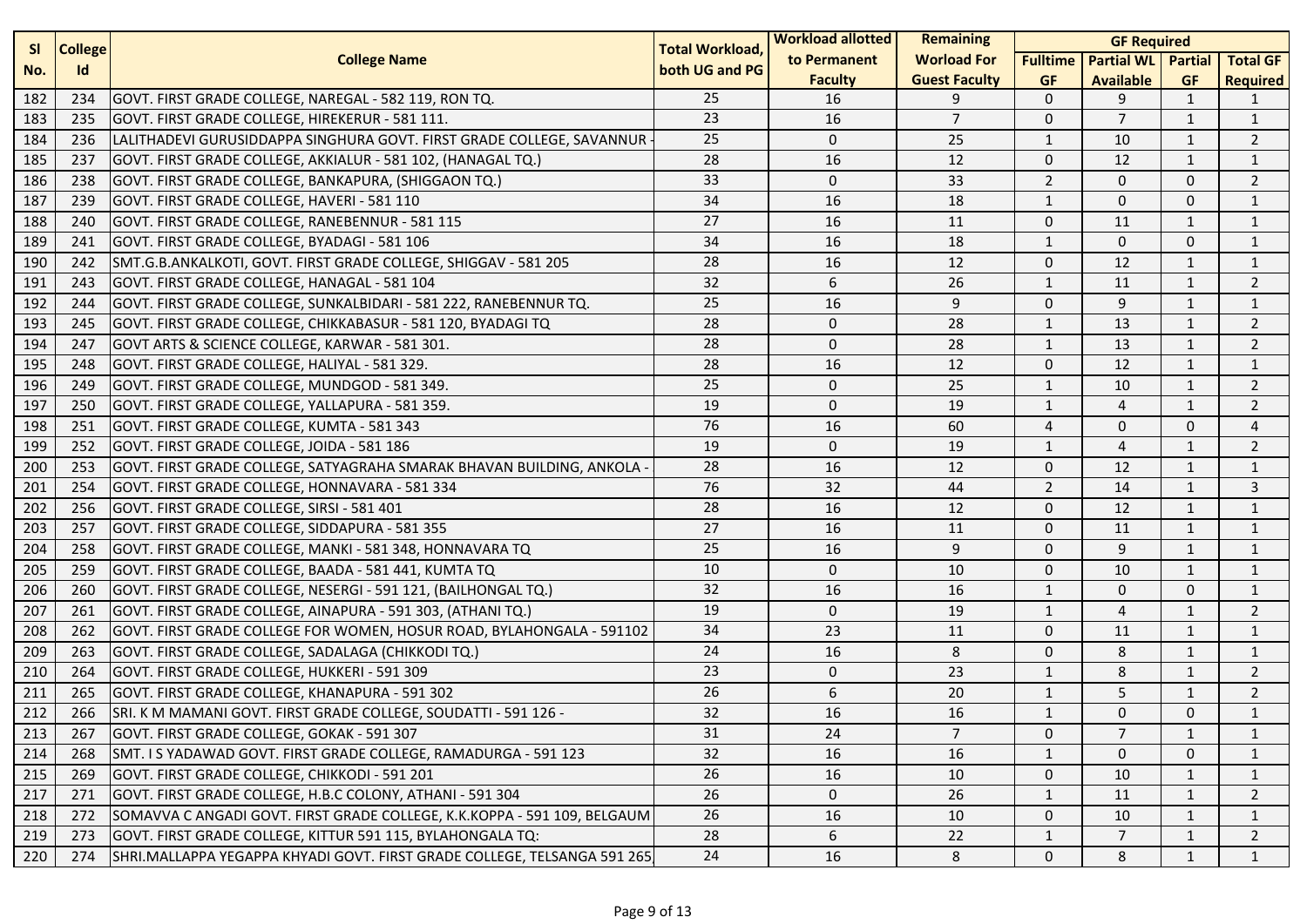| <b>SI</b><br><b>College</b> |     | <b>Total Workload,</b>                                                   | <b>Workload allotted</b> | <b>Remaining</b> |                      | <b>GF Required</b> |                   |                |                 |
|-----------------------------|-----|--------------------------------------------------------------------------|--------------------------|------------------|----------------------|--------------------|-------------------|----------------|-----------------|
| No.                         | Id  | <b>College Name</b>                                                      | both UG and PG           | to Permanent     | <b>Worload For</b>   | <b>Fulltime</b>    | <b>Partial WL</b> | <b>Partial</b> | <b>Total GF</b> |
|                             |     |                                                                          |                          | <b>Faculty</b>   | <b>Guest Faculty</b> | <b>GF</b>          | <b>Available</b>  | <b>GF</b>      | <b>Required</b> |
| 182                         | 234 | GOVT. FIRST GRADE COLLEGE, NAREGAL - 582 119, RON TQ.                    | 25                       | 16               | 9                    | $\mathbf{0}$       | 9                 | $\mathbf{1}$   | 1               |
| 183                         | 235 | GOVT. FIRST GRADE COLLEGE, HIREKERUR - 581 111.                          | 23                       | 16               | $\overline{7}$       | $\mathbf 0$        | $\overline{7}$    | $\mathbf{1}$   | $\mathbf{1}$    |
| 184                         | 236 | LALITHADEVI GURUSIDDAPPA SINGHURA GOVT. FIRST GRADE COLLEGE, SAVANNUR    | 25                       | $\mathbf{0}$     | 25                   | $\mathbf{1}$       | 10                | $\mathbf{1}$   | $\overline{2}$  |
| 185                         | 237 | GOVT. FIRST GRADE COLLEGE, AKKIALUR - 581 102, (HANAGAL TQ.)             | 28                       | 16               | 12                   | $\mathbf 0$        | 12                | 1              | $\mathbf{1}$    |
| 186                         | 238 | GOVT. FIRST GRADE COLLEGE, BANKAPURA, (SHIGGAON TQ.)                     | 33                       | 0                | 33                   | $\overline{2}$     | $\mathbf 0$       | $\mathbf 0$    | $\overline{2}$  |
| 187                         | 239 | GOVT. FIRST GRADE COLLEGE, HAVERI - 581 110                              | 34                       | 16               | 18                   | 1                  | $\mathbf{0}$      | $\Omega$       | $\mathbf{1}$    |
| 188                         | 240 | GOVT. FIRST GRADE COLLEGE, RANEBENNUR - 581 115                          | 27                       | 16               | 11                   | $\mathbf 0$        | 11                | $\mathbf{1}$   | $\mathbf{1}$    |
| 189                         | 241 | GOVT. FIRST GRADE COLLEGE, BYADAGI - 581 106                             | 34                       | 16               | 18                   | $\mathbf{1}$       | $\Omega$          | $\mathbf{0}$   | $\mathbf{1}$    |
| 190                         | 242 | SMT.G.B.ANKALKOTI, GOVT. FIRST GRADE COLLEGE, SHIGGAV - 581 205          | 28                       | 16               | 12                   | $\mathbf 0$        | 12                | 1              | $\mathbf{1}$    |
| 191                         | 243 | GOVT. FIRST GRADE COLLEGE, HANAGAL - 581 104                             | 32                       | 6                | 26                   | $\mathbf{1}$       | 11                | $\mathbf{1}$   | $\overline{2}$  |
| 192                         | 244 | GOVT. FIRST GRADE COLLEGE, SUNKALBIDARI - 581 222, RANEBENNUR TQ.        | 25                       | 16               | 9                    | $\mathbf 0$        | 9                 | $\mathbf{1}$   | $\mathbf{1}$    |
| 193                         | 245 | GOVT. FIRST GRADE COLLEGE, CHIKKABASUR - 581 120, BYADAGI TQ             | 28                       | $\mathbf 0$      | 28                   | $\mathbf{1}$       | 13                | $\mathbf{1}$   | $\overline{2}$  |
| 194                         | 247 | GOVT ARTS & SCIENCE COLLEGE, KARWAR - 581 301.                           | 28                       | $\Omega$         | 28                   | $\mathbf{1}$       | 13                | $\mathbf{1}$   | $\overline{2}$  |
| 195                         | 248 | GOVT. FIRST GRADE COLLEGE, HALIYAL - 581 329.                            | 28                       | 16               | 12                   | $\mathbf 0$        | 12                | 1              | 1               |
| 196                         | 249 | GOVT. FIRST GRADE COLLEGE, MUNDGOD - 581 349.                            | 25                       | 0                | 25                   | $\mathbf{1}$       | 10                | $\mathbf{1}$   | $\overline{2}$  |
| 197                         | 250 | GOVT. FIRST GRADE COLLEGE, YALLAPURA - 581 359.                          | 19                       | $\mathbf 0$      | 19                   | $\mathbf{1}$       | 4                 | 1              | $\overline{2}$  |
| 198                         | 251 | GOVT. FIRST GRADE COLLEGE, KUMTA - 581 343                               | 76                       | 16               | 60                   | $\overline{4}$     | $\mathbf 0$       | $\mathbf 0$    | $\overline{4}$  |
| 199                         | 252 | GOVT. FIRST GRADE COLLEGE, JOIDA - 581 186                               | 19                       | $\Omega$         | 19                   | $\mathbf{1}$       | $\overline{4}$    | $\mathbf{1}$   | $\overline{2}$  |
| 200                         | 253 | GOVT. FIRST GRADE COLLEGE, SATYAGRAHA SMARAK BHAVAN BUILDING, ANKOLA     | 28                       | 16               | 12                   | $\mathbf 0$        | 12                | 1              | 1               |
| 201                         | 254 | GOVT. FIRST GRADE COLLEGE, HONNAVARA - 581 334                           | 76                       | 32               | 44                   | $\overline{2}$     | 14                | $\mathbf{1}$   | 3               |
| 202                         | 256 | GOVT. FIRST GRADE COLLEGE, SIRSI - 581 401                               | 28                       | 16               | 12                   | $\mathbf 0$        | 12                | $\mathbf{1}$   | $\mathbf{1}$    |
| 203                         | 257 | GOVT. FIRST GRADE COLLEGE, SIDDAPURA - 581 355                           | 27                       | 16               | 11                   | $\mathbf{0}$       | 11                | $\mathbf{1}$   | $\mathbf{1}$    |
| 204                         | 258 | GOVT. FIRST GRADE COLLEGE, MANKI - 581 348, HONNAVARA TQ                 | 25                       | 16               | 9                    | $\mathbf 0$        | 9                 | $\mathbf{1}$   | $\mathbf{1}$    |
| 205                         | 259 | GOVT. FIRST GRADE COLLEGE, BAADA - 581 441, KUMTA TQ                     | 10                       | $\mathbf 0$      | 10                   | $\mathbf 0$        | 10                | 1              | $\mathbf{1}$    |
| 206                         | 260 | GOVT. FIRST GRADE COLLEGE, NESERGI - 591 121, (BAILHONGAL TQ.)           | 32                       | 16               | 16                   | $\mathbf{1}$       | $\mathbf{0}$      | $\mathbf 0$    | $\mathbf{1}$    |
| 207                         | 261 | GOVT. FIRST GRADE COLLEGE, AINAPURA - 591 303, (ATHANI TQ.)              | 19                       | $\mathbf 0$      | 19                   | 1                  | 4                 | $\mathbf{1}$   | $\overline{2}$  |
| 208                         | 262 | GOVT. FIRST GRADE COLLEGE FOR WOMEN, HOSUR ROAD, BYLAHONGALA - 591102    | 34                       | 23               | 11                   | $\mathbf 0$        | 11                | $\mathbf{1}$   | $\mathbf{1}$    |
| 209                         | 263 | GOVT. FIRST GRADE COLLEGE, SADALAGA (CHIKKODI TQ.)                       | 24                       | 16               | 8                    | $\mathbf 0$        | 8                 | $\mathbf{1}$   | $\mathbf{1}$    |
| 210                         | 264 | GOVT. FIRST GRADE COLLEGE, HUKKERI - 591 309                             | 23                       | 0                | 23                   | 1                  | 8                 | $\mathbf 1$    | $\overline{2}$  |
| 211                         | 265 | GOVT. FIRST GRADE COLLEGE, KHANAPURA - 591 302                           | 26                       | 6                | 20                   | $\mathbf{1}$       | 5                 | $\mathbf{1}$   | $\overline{2}$  |
| 212                         | 266 | SRI. K M MAMANI GOVT. FIRST GRADE COLLEGE, SOUDATTI - 591 126 -          | 32                       | 16               | 16                   | $\mathbf{1}$       | $\Omega$          | $\mathbf{0}$   | $\mathbf{1}$    |
| 213                         | 267 | GOVT. FIRST GRADE COLLEGE, GOKAK - 591 307                               | 31                       | 24               | $\overline{7}$       | 0                  | 7                 | 1              | 1               |
| 214                         | 268 | SMT. I S YADAWAD GOVT. FIRST GRADE COLLEGE, RAMADURGA - 591 123          | $\overline{32}$          | 16               | 16                   | $\mathbf{1}$       | $\Omega$          | $\mathbf{0}$   | $\mathbf{1}$    |
| 215                         | 269 | GOVT. FIRST GRADE COLLEGE, CHIKKODI - 591 201                            | 26                       | 16               | 10                   | $\mathbf 0$        | 10                | 1              |                 |
| 217                         | 271 | GOVT. FIRST GRADE COLLEGE, H.B.C COLONY, ATHANI - 591 304                | 26                       | 0                | 26                   | 1                  | 11                | 1              | 2               |
| 218                         | 272 | SOMAVVA C ANGADI GOVT. FIRST GRADE COLLEGE, K.K.KOPPA - 591 109, BELGAUM | 26                       | 16               | 10                   | 0                  | 10                | 1              | 1               |
| 219                         | 273 | GOVT. FIRST GRADE COLLEGE, KITTUR 591 115, BYLAHONGALA TQ:               | 28                       | 6                | 22                   | $\mathbf{1}$       | $\overline{7}$    | 1              | 2               |
| 220                         | 274 | SHRI.MALLAPPA YEGAPPA KHYADI GOVT. FIRST GRADE COLLEGE, TELSANGA 591 265 | 24                       | 16               | 8                    | 0                  | 8                 | $\mathbf{1}$   | $\mathbf{1}$    |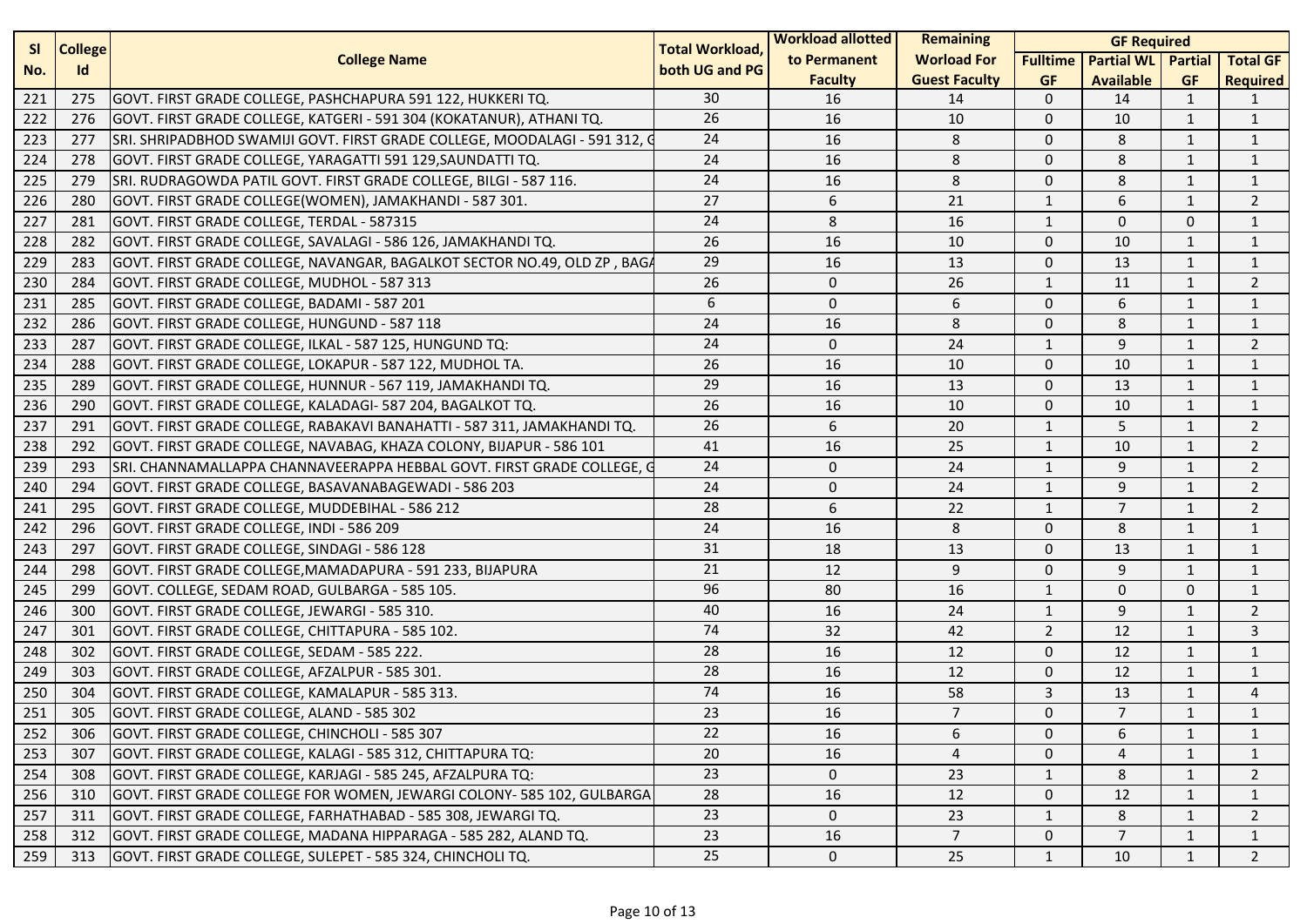| <b>SI</b><br><b>College</b> |     | <b>Total Workload,</b>                                                   | <b>Workload allotted</b> | <b>Remaining</b> | <b>GF Required</b>   |                 |                           |                |                 |
|-----------------------------|-----|--------------------------------------------------------------------------|--------------------------|------------------|----------------------|-----------------|---------------------------|----------------|-----------------|
| No.                         | Id  | <b>College Name</b>                                                      | both UG and PG           | to Permanent     | <b>Worload For</b>   | <b>Fulltime</b> | <b>Partial WL Partial</b> |                | <b>Total GF</b> |
|                             |     |                                                                          |                          | <b>Faculty</b>   | <b>Guest Faculty</b> | <b>GF</b>       | <b>Available</b>          | <b>GF</b>      | <b>Required</b> |
| 221                         | 275 | GOVT. FIRST GRADE COLLEGE, PASHCHAPURA 591 122, HUKKERI TQ.              | 30                       | 16               | 14                   | $\mathbf{0}$    | 14                        | $\mathbf{1}$   | 1               |
| 222                         | 276 | GOVT. FIRST GRADE COLLEGE, KATGERI - 591 304 (KOKATANUR), ATHANI TQ.     | 26                       | 16               | 10                   | $\mathbf 0$     | 10                        | 1              | $\mathbf{1}$    |
| 223                         | 277 | SRI. SHRIPADBHOD SWAMIJI GOVT. FIRST GRADE COLLEGE, MOODALAGI - 591 312, | 24                       | 16               | 8                    | $\mathbf{0}$    | 8                         | 1              | 1               |
| 224                         | 278 | GOVT. FIRST GRADE COLLEGE, YARAGATTI 591 129, SAUNDATTI TQ.              | 24                       | 16               | 8                    | $\mathbf{0}$    | 8                         | $\mathbf{1}$   | $\mathbf{1}$    |
| 225                         | 279 | SRI. RUDRAGOWDA PATIL GOVT. FIRST GRADE COLLEGE, BILGI - 587 116.        | 24                       | 16               | 8                    | $\mathbf 0$     | 8                         | 1              | $\mathbf{1}$    |
| 226                         | 280 | GOVT. FIRST GRADE COLLEGE(WOMEN), JAMAKHANDI - 587 301.                  | 27                       | 6                | 21                   | $\mathbf{1}$    | 6                         | $\mathbf{1}$   | $\overline{2}$  |
| 227                         | 281 | GOVT. FIRST GRADE COLLEGE, TERDAL - 587315                               | 24                       | 8                | 16                   | $\mathbf{1}$    | $\mathbf{0}$              | 0              | 1               |
| 228                         | 282 | GOVT. FIRST GRADE COLLEGE, SAVALAGI - 586 126, JAMAKHANDI TQ.            | 26                       | 16               | 10                   | $\mathbf 0$     | 10                        | 1              | 1               |
| 229                         | 283 | GOVT. FIRST GRADE COLLEGE, NAVANGAR, BAGALKOT SECTOR NO.49, OLD ZP, BAGA | 29                       | 16               | 13                   | $\mathbf 0$     | 13                        | $\mathbf{1}$   | $\mathbf{1}$    |
| 230                         | 284 | IGOVT. FIRST GRADE COLLEGE, MUDHOL - 587 313                             | 26                       | $\mathbf 0$      | 26                   | $\mathbf{1}$    | 11                        | 1              | $\overline{2}$  |
| 231                         | 285 | GOVT. FIRST GRADE COLLEGE, BADAMI - 587 201                              | 6                        | $\mathbf 0$      | 6                    | $\mathbf{0}$    | 6                         | $\mathbf{1}$   | $\mathbf{1}$    |
| 232                         | 286 | GOVT. FIRST GRADE COLLEGE, HUNGUND - 587 118                             | 24                       | 16               | 8                    | $\mathbf 0$     | 8                         | $\mathbf{1}$   | $\mathbf{1}$    |
| 233                         | 287 | GOVT. FIRST GRADE COLLEGE, ILKAL - 587 125, HUNGUND TQ:                  | 24                       | $\mathbf 0$      | 24                   | 1               | 9                         | 1              | $\overline{2}$  |
| 234                         | 288 | GOVT. FIRST GRADE COLLEGE, LOKAPUR - 587 122, MUDHOL TA.                 | 26                       | 16               | 10                   | $\mathbf{0}$    | 10                        | 1              | $\mathbf{1}$    |
| 235                         | 289 | GOVT. FIRST GRADE COLLEGE, HUNNUR - 567 119, JAMAKHANDI TQ.              | 29                       | 16               | 13                   | $\mathbf 0$     | 13                        | 1              | $\mathbf{1}$    |
| 236                         | 290 | GOVT. FIRST GRADE COLLEGE, KALADAGI- 587 204, BAGALKOT TQ.               | 26                       | 16               | 10                   | $\mathbf 0$     | 10                        | $\mathbf{1}$   | $\mathbf{1}$    |
| 237                         | 291 | GOVT. FIRST GRADE COLLEGE, RABAKAVI BANAHATTI - 587 311, JAMAKHANDI TQ.  | 26                       | 6                | 20                   | $\mathbf{1}$    | 5                         | 1              | $\overline{2}$  |
| 238                         | 292 | GOVT. FIRST GRADE COLLEGE, NAVABAG, KHAZA COLONY, BIJAPUR - 586 101      | 41                       | 16               | 25                   | $\mathbf{1}$    | 10                        | 1              | $\overline{2}$  |
| 239                         | 293 | SRI. CHANNAMALLAPPA CHANNAVEERAPPA HEBBAL GOVT. FIRST GRADE COLLEGE, G   | 24                       | $\mathbf 0$      | 24                   | $\mathbf{1}$    | 9                         | $\mathbf{1}$   | $\overline{2}$  |
| 240                         | 294 | GOVT. FIRST GRADE COLLEGE, BASAVANABAGEWADI - 586 203                    | 24                       | $\mathbf 0$      | 24                   | $\mathbf{1}$    | 9                         | 1              | $\overline{2}$  |
| 241                         | 295 | GOVT. FIRST GRADE COLLEGE, MUDDEBIHAL - 586 212                          | 28                       | 6                | 22                   | $\mathbf{1}$    | $\overline{7}$            | $\mathbf{1}$   | $\overline{2}$  |
| 242                         | 296 | GOVT. FIRST GRADE COLLEGE, INDI - 586 209                                | 24                       | 16               | 8                    | $\mathbf{0}$    | 8                         | 1              | $\mathbf{1}$    |
| 243                         | 297 | GOVT. FIRST GRADE COLLEGE, SINDAGI - 586 128                             | 31                       | 18               | 13                   | $\mathbf 0$     | 13                        | 1              | 1               |
| 244                         | 298 | GOVT. FIRST GRADE COLLEGE, MAMADAPURA - 591 233, BIJAPURA                | 21                       | 12               | 9                    | $\mathbf 0$     | 9                         | $\mathbf{1}$   | $\mathbf{1}$    |
| 245                         | 299 | GOVT. COLLEGE, SEDAM ROAD, GULBARGA - 585 105.                           | 96                       | 80               | 16                   | $\mathbf{1}$    | $\mathbf 0$               | $\Omega$       | $\mathbf{1}$    |
| 246                         | 300 | GOVT. FIRST GRADE COLLEGE, JEWARGI - 585 310.                            | 40                       | 16               | 24                   | $\mathbf{1}$    | 9                         | $\mathbf{1}$   | $\overline{2}$  |
| 247                         | 301 | GOVT. FIRST GRADE COLLEGE, CHITTAPURA - 585 102.                         | 74                       | 32               | 42                   | $\overline{2}$  | 12                        | 1              | 3               |
| 248                         | 302 | GOVT. FIRST GRADE COLLEGE, SEDAM - 585 222.                              | 28                       | 16               | 12                   | $\mathbf{0}$    | 12                        | $\mathbf{1}$   | $\mathbf{1}$    |
| 249                         | 303 | GOVT. FIRST GRADE COLLEGE, AFZALPUR - 585 301.                           | 28                       | 16               | 12                   | $\mathbf{0}$    | 12                        | $\mathbf{1}$   | $\mathbf{1}$    |
| 250                         | 304 | GOVT. FIRST GRADE COLLEGE, KAMALAPUR - 585 313.                          | 74                       | 16               | 58                   | $\overline{3}$  | 13                        | 1              | 4               |
| 251                         | 305 | GOVT. FIRST GRADE COLLEGE, ALAND - 585 302                               | 23                       | 16               | $\overline{7}$       | $\Omega$        | $\overline{7}$            | $\mathbf{1}$   | $\mathbf{1}$    |
| 252                         | 306 | GOVT. FIRST GRADE COLLEGE, CHINCHOLI - 585 307                           | 22                       | 16               | 6                    | 0               | 6                         | 1              | $\mathbf{1}$    |
| 253                         | 307 | GOVT. FIRST GRADE COLLEGE, KALAGI - 585 312, CHITTAPURA TQ:              | 20                       | 16               | 4                    | $\Omega$        | 4                         | $\overline{1}$ | $\mathbf{1}$    |
| 254                         | 308 | GOVT. FIRST GRADE COLLEGE, KARJAGI - 585 245, AFZALPURA TQ:              | 23                       | $\mathsf{O}$     | 23                   | $\mathbf{1}$    | 8                         | 1              | $\overline{2}$  |
| 256                         | 310 | GOVT. FIRST GRADE COLLEGE FOR WOMEN, JEWARGI COLONY- 585 102, GULBARGA   | 28                       | 16               | 12                   | 0               | 12                        | 1              | 1               |
| 257                         | 311 | GOVT. FIRST GRADE COLLEGE, FARHATHABAD - 585 308, JEWARGI TQ.            | 23                       | 0                | 23                   | $\mathbf{1}$    | 8                         | 1              | 2               |
| 258                         | 312 | GOVT. FIRST GRADE COLLEGE, MADANA HIPPARAGA - 585 282, ALAND TQ.         | 23                       | 16               | $\overline{7}$       | 0               | $\overline{7}$            | 1              | $\mathbf{1}$    |
| 259                         | 313 | GOVT. FIRST GRADE COLLEGE, SULEPET - 585 324, CHINCHOLI TQ.              | 25                       | 0                | 25                   | $\mathbf{1}$    | 10                        | 1              | $\overline{2}$  |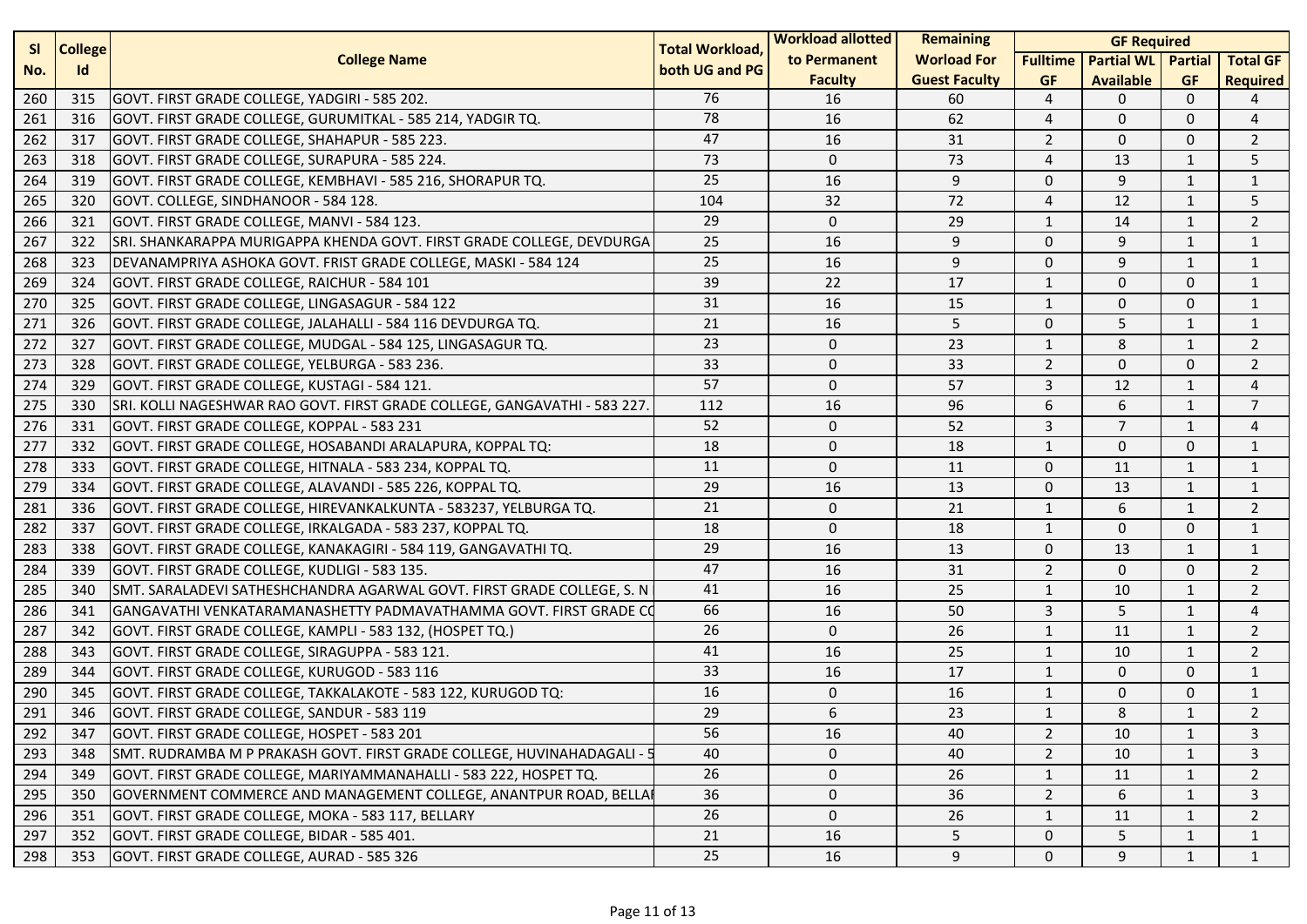| <b>SI</b><br><b>College</b> |           | <b>Total Workload,</b>                                                    | <b>Workload allotted</b> | <b>Remaining</b> | <b>GF Required</b>   |                 |                   |                |                 |
|-----------------------------|-----------|---------------------------------------------------------------------------|--------------------------|------------------|----------------------|-----------------|-------------------|----------------|-----------------|
| No.                         | <b>Id</b> | <b>College Name</b>                                                       | both UG and PG           | to Permanent     | <b>Worload For</b>   | <b>Fulltime</b> | <b>Partial WL</b> | <b>Partial</b> | <b>Total GF</b> |
|                             |           |                                                                           |                          | <b>Faculty</b>   | <b>Guest Faculty</b> | <b>GF</b>       | <b>Available</b>  | <b>GF</b>      | <b>Required</b> |
| 260                         | 315       | GOVT. FIRST GRADE COLLEGE, YADGIRI - 585 202.                             | 76                       | 16               | 60                   | 4               | 0                 | $\Omega$       | 4               |
| 261                         | 316       | GOVT. FIRST GRADE COLLEGE, GURUMITKAL - 585 214, YADGIR TQ.               | 78                       | 16               | 62                   | 4               | $\mathbf{0}$      | $\Omega$       | 4               |
| 262                         | 317       | GOVT. FIRST GRADE COLLEGE, SHAHAPUR - 585 223.                            | 47                       | 16               | 31                   | $\overline{2}$  | $\mathbf{0}$      | $\Omega$       | 2               |
| 263                         | 318       | GOVT. FIRST GRADE COLLEGE, SURAPURA - 585 224.                            | 73                       | $\mathbf 0$      | 73                   | 4               | 13                | $\mathbf{1}$   | 5               |
| 264                         | 319       | GOVT. FIRST GRADE COLLEGE, KEMBHAVI - 585 216, SHORAPUR TQ.               | 25                       | 16               | 9                    | $\mathbf 0$     | 9                 | 1              | $\mathbf{1}$    |
| 265                         | 320       | GOVT. COLLEGE, SINDHANOOR - 584 128.                                      | 104                      | 32               | 72                   | 4               | 12                | $\mathbf{1}$   | 5               |
| 266                         | 321       | GOVT. FIRST GRADE COLLEGE, MANVI - 584 123.                               | 29                       | 0                | 29                   | $\mathbf{1}$    | 14                | 1              | $\overline{2}$  |
| 267                         | 322       | SRI. SHANKARAPPA MURIGAPPA KHENDA GOVT. FIRST GRADE COLLEGE, DEVDURGA     | 25                       | 16               | 9                    | $\mathbf 0$     | 9                 | $\mathbf{1}$   | 1               |
| 268                         | 323       | DEVANAMPRIYA ASHOKA GOVT. FRIST GRADE COLLEGE, MASKI - 584 124            | 25                       | 16               | 9                    | $\mathbf 0$     | 9                 | $\mathbf{1}$   | $\mathbf{1}$    |
| 269                         | 324       | GOVT. FIRST GRADE COLLEGE, RAICHUR - 584 101                              | 39                       | 22               | 17                   | $\mathbf{1}$    | $\Omega$          | $\mathbf{0}$   | $\mathbf{1}$    |
| 270                         | 325       | GOVT. FIRST GRADE COLLEGE, LINGASAGUR - 584 122                           | 31                       | 16               | 15                   | $\mathbf{1}$    | $\Omega$          | $\Omega$       | 1               |
| 271                         | 326       | GOVT. FIRST GRADE COLLEGE, JALAHALLI - 584 116 DEVDURGA TQ.               | 21                       | 16               | 5                    | 0               | 5                 | $\mathbf{1}$   | 1               |
| 272                         | 327       | GOVT. FIRST GRADE COLLEGE, MUDGAL - 584 125, LINGASAGUR TQ.               | 23                       | $\mathbf 0$      | 23                   | $\mathbf{1}$    | 8                 | $\mathbf{1}$   | $\overline{2}$  |
| 273                         | 328       | GOVT. FIRST GRADE COLLEGE, YELBURGA - 583 236.                            | 33                       | $\mathbf 0$      | 33                   | $\overline{2}$  | $\Omega$          | $\mathbf{0}$   | $\overline{2}$  |
| 274                         | 329       | GOVT. FIRST GRADE COLLEGE, KUSTAGI - 584 121.                             | 57                       | 0                | 57                   | 3               | 12                | $\mathbf{1}$   | $\overline{4}$  |
| 275                         | 330       | SRI. KOLLI NAGESHWAR RAO GOVT. FIRST GRADE COLLEGE, GANGAVATHI - 583 227. | 112                      | 16               | 96                   | 6               | 6                 | $\mathbf{1}$   | $\overline{7}$  |
| 276                         | 331       | GOVT. FIRST GRADE COLLEGE, KOPPAL - 583 231                               | 52                       | 0                | 52                   | 3               | $\overline{7}$    | 1              | 4               |
| 277                         | 332       | GOVT. FIRST GRADE COLLEGE, HOSABANDI ARALAPURA, KOPPAL TQ:                | 18                       | $\mathbf 0$      | 18                   | $\mathbf{1}$    | $\mathbf{0}$      | $\Omega$       | $\mathbf{1}$    |
| 278                         | 333       | GOVT. FIRST GRADE COLLEGE, HITNALA - 583 234, KOPPAL TQ.                  | 11                       | $\mathbf 0$      | 11                   | $\mathbf 0$     | 11                | $\mathbf{1}$   | $\mathbf{1}$    |
| 279                         | 334       | GOVT. FIRST GRADE COLLEGE, ALAVANDI - 585 226, KOPPAL TQ.                 | 29                       | 16               | 13                   | $\mathbf 0$     | 13                | $\mathbf{1}$   | $\mathbf{1}$    |
| 281                         | 336       | GOVT. FIRST GRADE COLLEGE, HIREVANKALKUNTA - 583237, YELBURGA TQ.         | 21                       | $\mathbf 0$      | 21                   | 1               | 6                 | $\mathbf{1}$   | 2               |
| 282                         | 337       | GOVT. FIRST GRADE COLLEGE, IRKALGADA - 583 237, KOPPAL TQ.                | 18                       | 0                | 18                   | $\mathbf{1}$    | $\mathbf{0}$      | $\mathbf{0}$   | $\mathbf{1}$    |
| 283                         | 338       | GOVT. FIRST GRADE COLLEGE, KANAKAGIRI - 584 119, GANGAVATHI TQ.           | 29                       | 16               | 13                   | $\mathbf 0$     | 13                | $\mathbf{1}$   | $\mathbf{1}$    |
| 284                         | 339       | GOVT. FIRST GRADE COLLEGE, KUDLIGI - 583 135.                             | 47                       | 16               | 31                   | $\overline{2}$  | $\mathbf{0}$      | $\mathbf{0}$   | $\overline{2}$  |
| 285                         | 340       | SMT. SARALADEVI SATHESHCHANDRA AGARWAL GOVT. FIRST GRADE COLLEGE, S. N    | 41                       | 16               | 25                   | $\mathbf{1}$    | 10                | $\mathbf{1}$   | $\overline{2}$  |
| 286                         | 341       | GANGAVATHI VENKATARAMANASHETTY PADMAVATHAMMA GOVT. FIRST GRADE CO         | 66                       | 16               | 50                   | 3               | 5                 | $\mathbf{1}$   | 4               |
| 287                         | 342       | GOVT. FIRST GRADE COLLEGE, KAMPLI - 583 132, (HOSPET TQ.)                 | 26                       | 0                | 26                   | $\mathbf{1}$    | 11                | $\mathbf{1}$   | $\overline{2}$  |
| 288                         | 343       | GOVT. FIRST GRADE COLLEGE, SIRAGUPPA - 583 121.                           | 41                       | 16               | 25                   | $\mathbf{1}$    | 10                | $\mathbf{1}$   | $\overline{2}$  |
| 289                         | 344       | GOVT. FIRST GRADE COLLEGE, KURUGOD - 583 116                              | 33                       | 16               | 17                   | $\mathbf{1}$    | $\mathbf{0}$      | $\mathbf 0$    | $\mathbf{1}$    |
| 290                         | 345       | GOVT. FIRST GRADE COLLEGE, TAKKALAKOTE - 583 122, KURUGOD TQ:             | 16                       | $\mathsf{O}$     | 16                   | 1               | $\mathbf{0}$      | $\mathbf{0}$   | $\mathbf{1}$    |
| 291                         | 346       | GOVT. FIRST GRADE COLLEGE, SANDUR - 583 119                               | 29                       | 6                | 23                   | 1               | 8                 | $\mathbf{1}$   | $\overline{2}$  |
| 292                         | 347       | GOVT. FIRST GRADE COLLEGE, HOSPET - 583 201                               | 56                       | 16               | 40                   | 2               | 10                | 1              | 3               |
| 293                         | 348       | SMT. RUDRAMBA M P PRAKASH GOVT. FIRST GRADE COLLEGE, HUVINAHADAGALI -     | 40                       | $\Omega$         | 40                   | $\overline{2}$  | 10                | $\mathbf{1}$   | 3               |
| 294                         | 349       | GOVT. FIRST GRADE COLLEGE, MARIYAMMANAHALLI - 583 222, HOSPET TQ.         | 26                       | 0                | 26                   | 1               | 11                | $\mathbf{1}$   | $\overline{2}$  |
| 295                         | 350       | GOVERNMENT COMMERCE AND MANAGEMENT COLLEGE, ANANTPUR ROAD, BELLA          | 36                       | 0                | 36                   | $\overline{2}$  | 6                 | 1              | 3               |
| 296                         | 351       | GOVT. FIRST GRADE COLLEGE, MOKA - 583 117, BELLARY                        | 26                       | $\mathbf{0}$     | 26                   | 1               | 11                | 1              | 2               |
| 297                         | 352       | GOVT. FIRST GRADE COLLEGE, BIDAR - 585 401.                               | 21                       | 16               | 5                    | 0               | 5                 | 1              | 1               |
| 298                         | 353       | GOVT. FIRST GRADE COLLEGE, AURAD - 585 326                                | 25                       | 16               | 9                    | 0               | 9                 | 1              | $\mathbf{1}$    |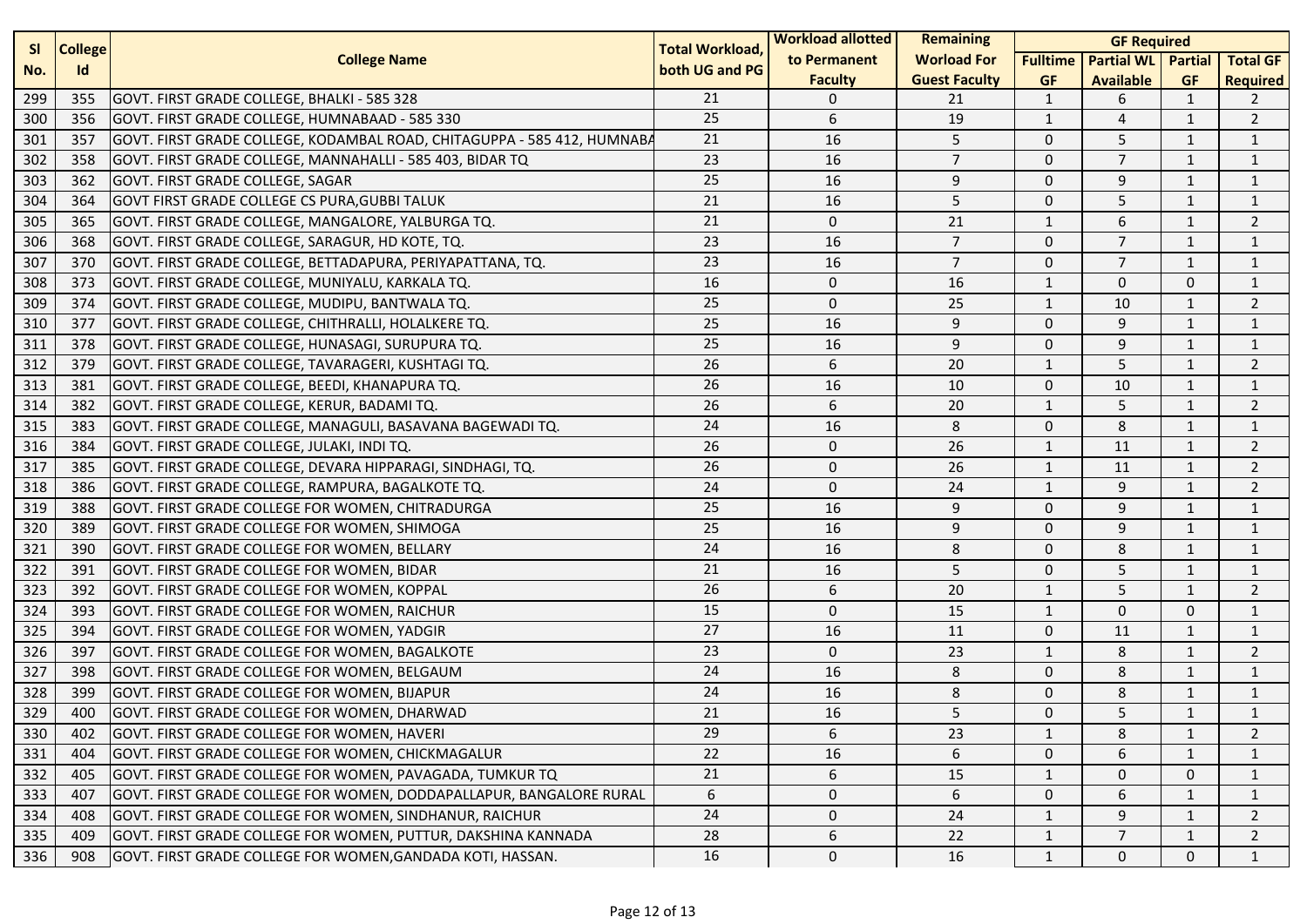| <b>SI</b><br><b>College</b> |     | <b>Total Workload,</b>                                                  | <b>Workload allotted</b> | <b>Remaining</b> | <b>GF Required</b>   |                 |                           |              |                 |
|-----------------------------|-----|-------------------------------------------------------------------------|--------------------------|------------------|----------------------|-----------------|---------------------------|--------------|-----------------|
| No.                         | Id  | <b>College Name</b>                                                     | both UG and PG           | to Permanent     | <b>Worload For</b>   | <b>Fulltime</b> | <b>Partial WL</b> Partial |              | <b>Total GF</b> |
|                             |     |                                                                         |                          | <b>Faculty</b>   | <b>Guest Faculty</b> | <b>GF</b>       | <b>Available</b>          | <b>GF</b>    | <b>Required</b> |
| 299                         | 355 | GOVT. FIRST GRADE COLLEGE, BHALKI - 585 328                             | 21                       | 0                | 21                   | 1               | 6                         | 1            | 2               |
| 300                         | 356 | GOVT. FIRST GRADE COLLEGE, HUMNABAAD - 585 330                          | 25                       | 6                | 19                   | $\mathbf{1}$    | 4                         | $\mathbf{1}$ | $\overline{2}$  |
| 301                         | 357 | GOVT. FIRST GRADE COLLEGE, KODAMBAL ROAD, CHITAGUPPA - 585 412, HUMNABA | 21                       | 16               | 5                    | $\mathbf 0$     | 5                         | 1            | $\mathbf{1}$    |
| 302                         | 358 | GOVT. FIRST GRADE COLLEGE, MANNAHALLI - 585 403, BIDAR TQ               | 23                       | 16               | $\overline{7}$       | $\mathbf 0$     | $\overline{7}$            | 1            | $\mathbf{1}$    |
| 303                         | 362 | <b>GOVT. FIRST GRADE COLLEGE, SAGAR</b>                                 | 25                       | 16               | 9                    | $\mathbf 0$     | 9                         | $\mathbf{1}$ | $\mathbf{1}$    |
| 304                         | 364 | <b>GOVT FIRST GRADE COLLEGE CS PURA, GUBBI TALUK</b>                    | 21                       | 16               | 5                    | $\mathbf 0$     | 5                         | 1            | $\mathbf{1}$    |
| 305                         | 365 | GOVT. FIRST GRADE COLLEGE, MANGALORE, YALBURGA TQ.                      | 21                       | $\mathbf 0$      | 21                   | $\mathbf{1}$    | 6                         | $\mathbf{1}$ | $\overline{2}$  |
| 306                         | 368 | GOVT. FIRST GRADE COLLEGE, SARAGUR, HD KOTE, TQ.                        | 23                       | 16               | $\overline{7}$       | $\mathbf 0$     | $\overline{7}$            | 1            | $\mathbf{1}$    |
| 307                         | 370 | GOVT. FIRST GRADE COLLEGE, BETTADAPURA, PERIYAPATTANA, TQ.              | 23                       | 16               | $\overline{7}$       | $\mathbf 0$     | $\overline{7}$            | 1            | $\mathbf{1}$    |
| 308                         | 373 | GOVT. FIRST GRADE COLLEGE, MUNIYALU, KARKALA TQ.                        | 16                       | 0                | 16                   | $\mathbf{1}$    | $\mathbf 0$               | $\mathbf 0$  | $\mathbf{1}$    |
| 309                         | 374 | GOVT. FIRST GRADE COLLEGE, MUDIPU, BANTWALA TQ.                         | 25                       | $\mathbf 0$      | 25                   | $\mathbf{1}$    | 10                        | $\mathbf{1}$ | $\overline{2}$  |
| 310                         | 377 | GOVT. FIRST GRADE COLLEGE, CHITHRALLI, HOLALKERE TQ.                    | 25                       | 16               | 9                    | $\mathbf 0$     | 9                         | $\mathbf{1}$ | $\mathbf{1}$    |
| 311                         | 378 | GOVT. FIRST GRADE COLLEGE, HUNASAGI, SURUPURA TQ.                       | 25                       | 16               | 9                    | $\mathbf 0$     | 9                         | 1            | $\mathbf{1}$    |
| 312                         | 379 | GOVT. FIRST GRADE COLLEGE, TAVARAGERI, KUSHTAGI TQ.                     | 26                       | 6                | 20                   | $\mathbf{1}$    | 5                         | 1            | $\overline{2}$  |
| 313                         | 381 | GOVT. FIRST GRADE COLLEGE, BEEDI, KHANAPURA TQ.                         | 26                       | 16               | 10                   | $\mathbf 0$     | 10                        | $\mathbf{1}$ | $\mathbf{1}$    |
| 314                         | 382 | GOVT. FIRST GRADE COLLEGE, KERUR, BADAMI TQ.                            | 26                       | 6                | 20                   | $\mathbf{1}$    | 5                         | 1            | $\overline{2}$  |
| 315                         | 383 | GOVT. FIRST GRADE COLLEGE, MANAGULI, BASAVANA BAGEWADI TQ.              | 24                       | 16               | 8                    | $\mathbf 0$     | 8                         | $\mathbf{1}$ | $\mathbf{1}$    |
| 316                         | 384 | GOVT. FIRST GRADE COLLEGE, JULAKI, INDI TQ.                             | 26                       | $\mathbf 0$      | 26                   | $\mathbf{1}$    | 11                        | 1            | $\overline{2}$  |
| 317                         | 385 | GOVT. FIRST GRADE COLLEGE, DEVARA HIPPARAGI, SINDHAGI, TQ.              | 26                       | $\mathbf{0}$     | 26                   | $\mathbf{1}$    | 11                        | 1            | $\overline{2}$  |
| 318                         | 386 | GOVT. FIRST GRADE COLLEGE, RAMPURA, BAGALKOTE TQ.                       | 24                       | $\mathbf 0$      | 24                   | $\mathbf{1}$    | 9                         | $\mathbf{1}$ | $\overline{2}$  |
| 319                         | 388 | GOVT. FIRST GRADE COLLEGE FOR WOMEN, CHITRADURGA                        | 25                       | 16               | 9                    | $\mathbf 0$     | 9                         | 1            | $\mathbf{1}$    |
| 320                         | 389 | GOVT. FIRST GRADE COLLEGE FOR WOMEN, SHIMOGA                            | 25                       | 16               | 9                    | $\mathbf 0$     | 9                         | $\mathbf{1}$ | $\mathbf{1}$    |
| 321                         | 390 | GOVT. FIRST GRADE COLLEGE FOR WOMEN, BELLARY                            | 24                       | 16               | 8                    | $\mathbf 0$     | 8                         | $\mathbf{1}$ | $\mathbf{1}$    |
| 322                         | 391 | GOVT. FIRST GRADE COLLEGE FOR WOMEN, BIDAR                              | 21                       | 16               | 5                    | $\mathbf 0$     | 5                         | 1            | $\mathbf{1}$    |
| 323                         | 392 | GOVT. FIRST GRADE COLLEGE FOR WOMEN, KOPPAL                             | 26                       | 6                | 20                   | $\mathbf{1}$    | 5                         | $\mathbf{1}$ | $\overline{2}$  |
| 324                         | 393 | GOVT. FIRST GRADE COLLEGE FOR WOMEN, RAICHUR                            | 15                       | $\mathbf{0}$     | 15                   | $\mathbf{1}$    | $\mathbf 0$               | $\mathbf 0$  | $\mathbf{1}$    |
| 325                         | 394 | GOVT. FIRST GRADE COLLEGE FOR WOMEN, YADGIR                             | 27                       | 16               | 11                   | 0               | 11                        | $\mathbf{1}$ | $\mathbf{1}$    |
| 326                         | 397 | GOVT. FIRST GRADE COLLEGE FOR WOMEN, BAGALKOTE                          | 23                       | $\mathbf{0}$     | 23                   | $\mathbf{1}$    | 8                         | $\mathbf{1}$ | $\overline{2}$  |
| 327                         | 398 | GOVT. FIRST GRADE COLLEGE FOR WOMEN, BELGAUM                            | 24                       | 16               | 8                    | $\mathbf 0$     | 8                         | $\mathbf{1}$ | $\mathbf{1}$    |
| 328                         | 399 | GOVT. FIRST GRADE COLLEGE FOR WOMEN, BIJAPUR                            | 24                       | 16               | 8                    | $\mathbf 0$     | 8                         | $\mathbf{1}$ | $\mathbf{1}$    |
| 329                         | 400 | GOVT. FIRST GRADE COLLEGE FOR WOMEN, DHARWAD                            | 21                       | 16               | 5                    | $\mathbf 0$     | 5                         | 1            | 1               |
| 330                         | 402 | GOVT. FIRST GRADE COLLEGE FOR WOMEN, HAVERI                             | 29                       | 6                | 23                   | $\mathbf{1}$    | 8                         | 1            | 2               |
| 331                         | 404 | GOVT. FIRST GRADE COLLEGE FOR WOMEN, CHICKMAGALUR                       | 22                       | 16               | 6                    | $\mathbf 0$     | 6                         | 1            | $\mathbf{1}$    |
| 332                         | 405 | GOVT. FIRST GRADE COLLEGE FOR WOMEN, PAVAGADA, TUMKUR TQ                | 21                       | 6                | 15                   | $\mathbf{1}$    | $\mathbf{0}$              | $\mathbf{0}$ | $\mathbf{1}$    |
| 333                         | 407 | GOVT. FIRST GRADE COLLEGE FOR WOMEN, DODDAPALLAPUR, BANGALORE RURAL     | 6                        | 0                | 6                    | 0               | 6                         | 1            | 1               |
| 334                         | 408 | GOVT. FIRST GRADE COLLEGE FOR WOMEN, SINDHANUR, RAICHUR                 | 24                       | 0                | 24                   | 1               | 9                         | 1            | 2               |
| 335                         | 409 | GOVT. FIRST GRADE COLLEGE FOR WOMEN, PUTTUR, DAKSHINA KANNADA           | 28                       | 6                | 22                   | $\mathbf{1}$    | $\overline{7}$            | $\mathbf{1}$ | $\overline{2}$  |
| 336                         | 908 | GOVT. FIRST GRADE COLLEGE FOR WOMEN, GANDADA KOTI, HASSAN.              | 16                       | 0                | 16                   | $\mathbf{1}$    | 0                         | $\mathbf 0$  | $\mathbf{1}$    |